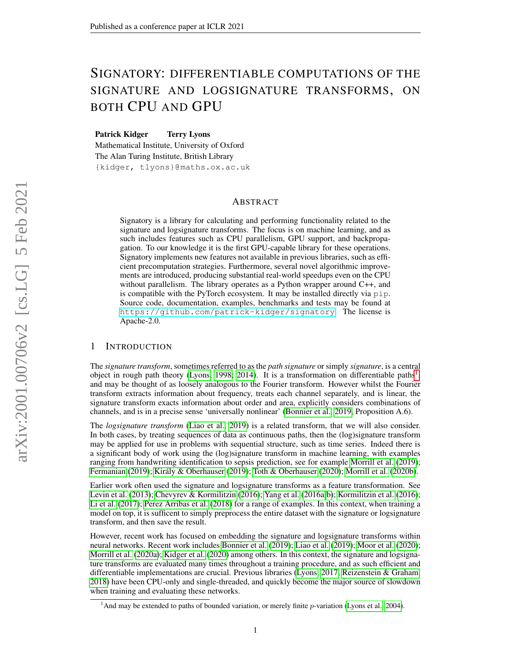# SIGNATORY: DIFFERENTIABLE COMPUTATIONS OF THE SIGNATURE AND LOGSIGNATURE TRANSFORMS, ON BOTH CPU AND GPU

Patrick Kidger Terry Lyons

Mathematical Institute, University of Oxford The Alan Turing Institute, British Library {kidger, tlyons}@maths.ox.ac.uk

# ABSTRACT

Signatory is a library for calculating and performing functionality related to the signature and logsignature transforms. The focus is on machine learning, and as such includes features such as CPU parallelism, GPU support, and backpropagation. To our knowledge it is the first GPU-capable library for these operations. Signatory implements new features not available in previous libraries, such as efficient precomputation strategies. Furthermore, several novel algorithmic improvements are introduced, producing substantial real-world speedups even on the CPU without parallelism. The library operates as a Python wrapper around C++, and is compatible with the PyTorch ecosystem. It may be installed directly via pip. Source code, documentation, examples, benchmarks and tests may be found at <https://github.com/patrick-kidger/signatory>. The license is Apache-2.0.

# 1 INTRODUCTION

The *signature transform*, sometimes referred to as the *path signature* or simply *signature*, is a central object in rough path theory [\(Lyons, 1998;](#page-10-0) [2014\)](#page-9-0). It is a transformation on differentiable paths<sup>[1](#page-0-0)</sup>, and may be thought of as loosely analogous to the Fourier transform. However whilst the Fourier transform extracts information about frequency, treats each channel separately, and is linear, the signature transform exacts information about order and area, explicitly considers combinations of channels, and is in a precise sense 'universally nonlinear' [\(Bonnier et al., 2019,](#page-9-1) Proposition A.6).

The *logsignature transform* [\(Liao et al., 2019\)](#page-9-2) is a related transform, that we will also consider. In both cases, by treating sequences of data as continuous paths, then the (log)signature transform may be applied for use in problems with sequential structure, such as time series. Indeed there is a significant body of work using the (log)signature transform in machine learning, with examples ranging from handwriting identification to sepsis prediction, see for example [Morrill et al.](#page-10-1) [\(2019\)](#page-10-1); [Fermanian](#page-9-3) [\(2019\)](#page-9-3); [Király & Oberhauser](#page-9-4) [\(2019\)](#page-9-4); [Toth & Oberhauser](#page-10-2) [\(2020\)](#page-10-2); [Morrill et al.](#page-10-3) [\(2020b\)](#page-10-3).

Earlier work often used the signature and logsignature transforms as a feature transformation. See [Levin et al.](#page-9-5) [\(2013\)](#page-9-5); [Chevyrev & Kormilitzin](#page-9-6) [\(2016\)](#page-9-6); [Yang et al.](#page-10-4) [\(2016a;](#page-10-4)[b\)](#page-10-5); [Kormilitzin et al.](#page-9-7) [\(2016\)](#page-9-7); [Li et al.](#page-9-8) [\(2017\)](#page-9-8); [Perez Arribas et al.](#page-10-6) [\(2018\)](#page-10-6) for a range of examples. In this context, when training a model on top, it is sufficent to simply preprocess the entire dataset with the signature or logsignature transform, and then save the result.

However, recent work has focused on embedding the signature and logsignature transforms within neural networks. Recent work includes [Bonnier et al.](#page-9-1) [\(2019\)](#page-9-1); [Liao et al.](#page-9-2) [\(2019\)](#page-9-2); [Moor et al.](#page-10-7) [\(2020\)](#page-10-7); [Morrill et al.](#page-10-8) [\(2020a\)](#page-10-8); [Kidger et al.](#page-9-9) [\(2020\)](#page-9-9) among others. In this context, the signature and logsignature transforms are evaluated many times throughout a training procedure, and as such efficient and differentiable implementations are crucial. Previous libraries [\(Lyons, 2017;](#page-9-10) [Reizenstein & Graham,](#page-10-9) [2018\)](#page-10-9) have been CPU-only and single-threaded, and quickly become the major source of slowdown when training and evaluating these networks.

<span id="page-0-0"></span><sup>&</sup>lt;sup>1</sup>And may be extended to paths of bounded variation, or merely finite  $p$ -variation [\(Lyons et al., 2004\)](#page-9-11).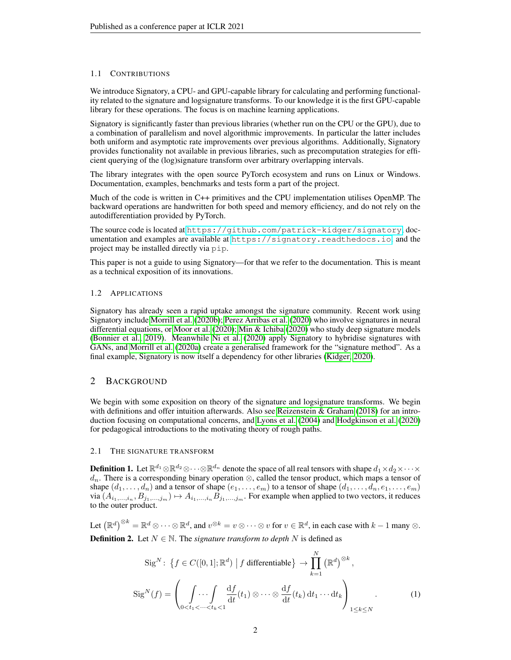# 1.1 CONTRIBUTIONS

We introduce Signatory, a CPU- and GPU-capable library for calculating and performing functionality related to the signature and logsignature transforms. To our knowledge it is the first GPU-capable library for these operations. The focus is on machine learning applications.

Signatory is significantly faster than previous libraries (whether run on the CPU or the GPU), due to a combination of parallelism and novel algorithmic improvements. In particular the latter includes both uniform and asymptotic rate improvements over previous algorithms. Additionally, Signatory provides functionality not available in previous libraries, such as precomputation strategies for efficient querying of the (log)signature transform over arbitrary overlapping intervals.

The library integrates with the open source PyTorch ecosystem and runs on Linux or Windows. Documentation, examples, benchmarks and tests form a part of the project.

Much of the code is written in C++ primitives and the CPU implementation utilises OpenMP. The backward operations are handwritten for both speed and memory efficiency, and do not rely on the autodifferentiation provided by PyTorch.

The source code is located at <https://github.com/patrick-kidger/signatory>, documentation and examples are available at <https://signatory.readthedocs.io>, and the project may be installed directly via pip.

This paper is not a guide to using Signatory—for that we refer to the documentation. This is meant as a technical exposition of its innovations.

# 1.2 APPLICATIONS

Signatory has already seen a rapid uptake amongst the signature community. Recent work using Signatory include [Morrill et al.](#page-10-3) [\(2020b\)](#page-10-3); [Perez Arribas et al.](#page-10-10) [\(2020\)](#page-10-10) who involve signatures in neural differential equations, or [Moor et al.](#page-10-7) [\(2020\)](#page-10-7); [Min & Ichiba](#page-10-11) [\(2020\)](#page-10-11) who study deep signature models [\(Bonnier et al., 2019\)](#page-9-1). Meanwhile [Ni et al.](#page-10-12) [\(2020\)](#page-10-12) apply Signatory to hybridise signatures with GANs, and [Morrill et al.](#page-10-8) [\(2020a\)](#page-10-8) create a generalised framework for the "signature method". As a final example, Signatory is now itself a dependency for other libraries [\(Kidger, 2020\)](#page-9-12).

# 2 BACKGROUND

We begin with some exposition on theory of the signature and logsignature transforms. We begin with definitions and offer intuition afterwards. Also see [Reizenstein & Graham](#page-10-9) [\(2018\)](#page-10-9) for an introduction focusing on computational concerns, and [Lyons et al.](#page-9-11) [\(2004\)](#page-9-11) and [Hodgkinson et al.](#page-9-13) [\(2020\)](#page-9-13) for pedagogical introductions to the motivating theory of rough paths.

# 2.1 THE SIGNATURE TRANSFORM

**Definition 1.** Let  $\R^{d_1}\otimes\R^{d_2}\otimes\cdots\otimes\R^{d_n}$  denote the space of all real tensors with shape  $d_1\times d_2\times\cdots\times$  $d_n$ . There is a corresponding binary operation ⊗, called the tensor product, which maps a tensor of shape  $(d_1, \ldots, d_n)$  and a tensor of shape  $(e_1, \ldots, e_m)$  to a tensor of shape  $(d_1, \ldots, d_n, e_1, \ldots, e_m)$ via  $(A_{i_1,...,i_n},B_{j_1,...,j_m})\mapsto A_{i_1,...,i_n}B_{j_1,...,j_m}$ . For example when applied to two vectors, it reduces to the outer product.

Let  $(\mathbb{R}^d)^{\otimes k} = \mathbb{R}^d \otimes \cdots \otimes \mathbb{R}^d$ , and  $v^{\otimes k} = v \otimes \cdots \otimes v$  for  $v \in \mathbb{R}^d$ , in each case with  $k-1$  many  $\otimes$ . **Definition 2.** Let  $N \in \mathbb{N}$ . The *signature transform to depth* N is defined as

$$
\operatorname{Sig}^N: \left\{ f \in C([0,1]; \mathbb{R}^d) \mid f \text{ differentiable} \right\} \to \prod_{k=1}^N (\mathbb{R}^d)^{\otimes k},
$$

$$
\operatorname{Sig}^N(f) = \left( \int_{0 < t_1 < \dots < t_k < 1} \frac{\mathrm{d}f}{\mathrm{d}t}(t_1) \otimes \dots \otimes \frac{\mathrm{d}f}{\mathrm{d}t}(t_k) \, \mathrm{d}t_1 \dots \mathrm{d}t_k \right)_{1 \leq k \leq N} . \tag{1}
$$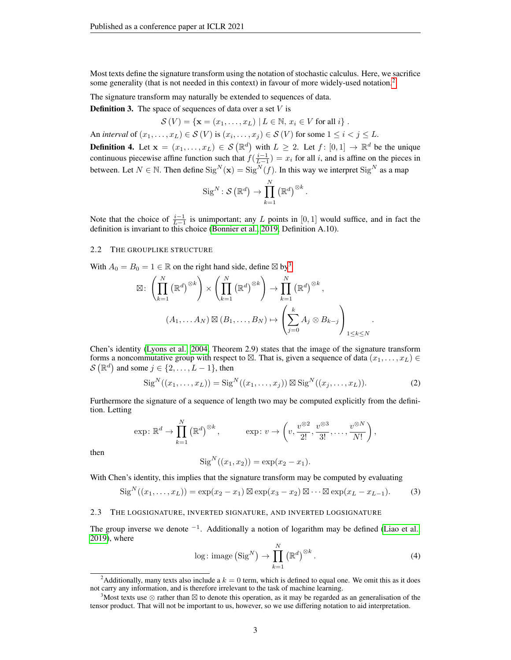Most texts define the signature transform using the notation of stochastic calculus. Here, we sacrifice some generality (that is not needed in this context) in favour of more widely-used notation.<sup>[2](#page-2-0)</sup>

The signature transform may naturally be extended to sequences of data.

**Definition 3.** The space of sequences of data over a set  $V$  is

 $\mathcal{S}(V) = \{ \mathbf{x} = (x_1, \dots, x_L) \mid L \in \mathbb{N}, x_i \in V \text{ for all } i \}.$ An *interval* of  $(x_1, \ldots, x_L) \in S(V)$  is  $(x_i, \ldots, x_j) \in S(V)$  for some  $1 \leq i < j \leq L$ .

<span id="page-2-4"></span>**Definition 4.** Let  $\mathbf{x} = (x_1, \dots, x_L) \in S(\mathbb{R}^d)$  with  $L \geq 2$ . Let  $f : [0, 1] \to \mathbb{R}^d$  be the unique continuous piecewise affine function such that  $f(\frac{i-1}{L-1}) = x_i$  for all i, and is affine on the pieces in between. Let  $N \in \mathbb{N}$ . Then define  $\text{Sig}^N(\mathbf{x}) = \text{Sig}^N(f)$ . In this way we interpret  $\text{Sig}^N$  as a map

$$
\operatorname{Sig}^N\colon \mathcal{S}\left(\mathbb{R}^d\right) \to \prod_{k=1}^N \left(\mathbb{R}^d\right)^{\otimes k}.
$$

Note that the choice of  $\frac{i-1}{L-1}$  is unimportant; any L points in [0, 1] would suffice, and in fact the definition is invariant to this choice [\(Bonnier et al., 2019,](#page-9-1) Definition A.10).

### <span id="page-2-5"></span>2.2 THE GROUPLIKE STRUCTURE

With  $A_0 = B_0 = 1 \in \mathbb{R}$  on the right hand side, define  $\boxtimes$  by<sup>[3](#page-2-1)</sup>

$$
\boxtimes: \left(\prod_{k=1}^{N} (\mathbb{R}^d)^{\otimes k}\right) \times \left(\prod_{k=1}^{N} (\mathbb{R}^d)^{\otimes k}\right) \to \prod_{k=1}^{N} (\mathbb{R}^d)^{\otimes k},
$$

$$
(A_1, \dots A_N) \boxtimes (B_1, \dots, B_N) \mapsto \left(\sum_{j=0}^{k} A_j \otimes B_{k-j}\right)_{1 \le k \le N}
$$

Chen's identity [\(Lyons et al., 2004,](#page-9-11) Theorem 2.9) states that the image of the signature transform forms a noncommutative group with respect to  $\boxtimes$ . That is, given a sequence of data  $(x_1, \ldots, x_L) \in$  $\mathcal{S}(\mathbb{R}^d)$  and some  $j \in \{2, \ldots, L-1\}$ , then

<span id="page-2-3"></span>
$$
SigN((x1,...,xL)) = SigN((x1,...,xj)) \boxtimes SigN((xj,...,xL)).
$$
 (2)

<span id="page-2-2"></span>.

Furthermore the signature of a sequence of length two may be computed explicitly from the definition. Letting

$$
\exp: \mathbb{R}^d \to \prod_{k=1}^N (\mathbb{R}^d)^{\otimes k}, \qquad \exp: v \to \left(v, \frac{v^{\otimes 2}}{2!}, \frac{v^{\otimes 3}}{3!}, \dots, \frac{v^{\otimes N}}{N!}\right),
$$

then

$$
SigN((x1, x2)) = exp(x2 - x1).
$$

With Chen's identity, this implies that the signature transform may be computed by evaluating

$$
SigN((x1,...,xL)) = exp(x2 - x1) \boxtimes exp(x3 - x2) \boxtimes \cdots \boxtimes exp(xL - xL-1).
$$
 (3)

### 2.3 THE LOGSIGNATURE, INVERTED SIGNATURE, AND INVERTED LOGSIGNATURE

The group inverse we denote  $^{-1}$ . Additionally a notion of logarithm may be defined [\(Liao et al.,](#page-9-2) [2019\)](#page-9-2), where

$$
\log: \text{image} \left( \text{Sig}^N \right) \to \prod_{k=1}^N \left( \mathbb{R}^d \right)^{\otimes k} . \tag{4}
$$

<span id="page-2-0"></span><sup>&</sup>lt;sup>2</sup>Additionally, many texts also include a  $k = 0$  term, which is defined to equal one. We omit this as it does not carry any information, and is therefore irrelevant to the task of machine learning.

<span id="page-2-1"></span><sup>&</sup>lt;sup>3</sup>Most texts use  $\otimes$  rather than  $\boxtimes$  to denote this operation, as it may be regarded as an generalisation of the tensor product. That will not be important to us, however, so we use differing notation to aid interpretation.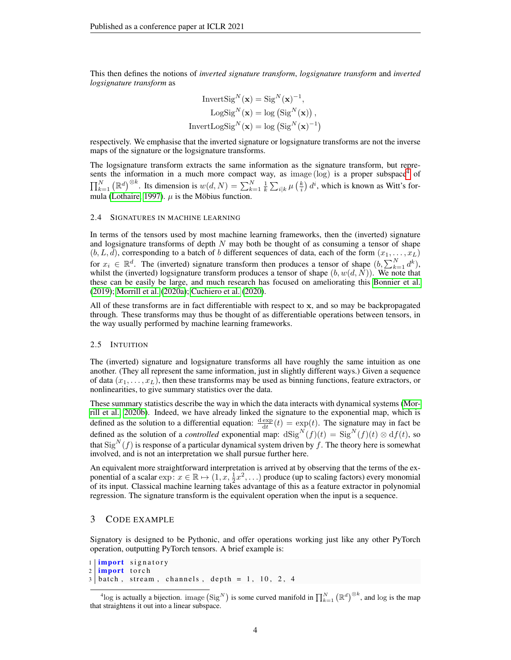This then defines the notions of *inverted signature transform*, *logsignature transform* and *inverted logsignature transform* as

InvertSig<sup>N</sup> (x) = Sig<sup>N</sup> (x) −1 , LogSig<sup>N</sup> (x) = log Sig<sup>N</sup> (x) , InvertLogSig<sup>N</sup> (x) = log Sig<sup>N</sup> (x) −1 

respectively. We emphasise that the inverted signature or logsignature transforms are not the inverse maps of the signature or the logsignature transforms.

The logsignature transform extracts the same information as the signature transform, but represents the information in a much more compact way, as image (log) is a proper subspace<sup> $\bar{4}$  $\bar{4}$  $\bar{4}$ </sup> of  $\prod_{k=1}^N (\mathbb{R}^d)^{\otimes k}$ . Its dimension is  $w(d, N) = \sum_{k=1}^N \frac{1}{k} \sum_{i|k} \mu\left(\frac{k}{i}\right) d^i$ , which is known as Witt's for-mula [\(Lothaire, 1997\)](#page-9-14).  $\mu$  is the Möbius function.

#### 2.4 SIGNATURES IN MACHINE LEARNING

In terms of the tensors used by most machine learning frameworks, then the (inverted) signature and logsignature transforms of depth  $N$  may both be thought of as consuming a tensor of shape  $(b, L, d)$ , corresponding to a batch of b different sequences of data, each of the form  $(x_1, \ldots, x_L)$ for  $x_i \in \mathbb{R}^d$ . The (inverted) signature transform then produces a tensor of shape  $(b, \sum_{k=1}^N d^k)$ , whilst the (inverted) logsignature transform produces a tensor of shape  $(b, w(d, N))$ . We note that these can be easily be large, and much research has focused on ameliorating this [Bonnier et al.](#page-9-1) [\(2019\)](#page-9-1); [Morrill et al.](#page-10-8) [\(2020a\)](#page-10-8); [Cuchiero et al.](#page-9-15) [\(2020\)](#page-9-15).

All of these transforms are in fact differentiable with respect to x, and so may be backpropagated through. These transforms may thus be thought of as differentiable operations between tensors, in the way usually performed by machine learning frameworks.

#### <span id="page-3-1"></span>2.5 INTUITION

The (inverted) signature and logsignature transforms all have roughly the same intuition as one another. (They all represent the same information, just in slightly different ways.) Given a sequence of data  $(x_1, \ldots, x_L)$ , then these transforms may be used as binning functions, feature extractors, or nonlinearities, to give summary statistics over the data.

These summary statistics describe the way in which the data interacts with dynamical systems [\(Mor](#page-10-3)[rill et al., 2020b\)](#page-10-3). Indeed, we have already linked the signature to the exponential map, which is defined as the solution to a differential equation:  $\frac{d \exp(t)}{dt}(t) = \exp(t)$ . The signature may in fact be defined as the solution of a *controlled* exponential map:  $dSig^N(f)(t) = Sig^N(f)(t) \otimes df(t)$ , so that  $\text{Sig}^N(f)$  is response of a particular dynamical system driven by f. The theory here is somewhat involved, and is not an interpretation we shall pursue further here.

An equivalent more straightforward interpretation is arrived at by observing that the terms of the exponential of a scalar exp:  $x \in \mathbb{R} \mapsto (1, x, \frac{1}{2}x^2, \ldots)$  produce (up to scaling factors) every monomial of its input. Classical machine learning takes advantage of this as a feature extractor in polynomial regression. The signature transform is the equivalent operation when the input is a sequence.

### 3 CODE EXAMPLE

Signatory is designed to be Pythonic, and offer operations working just like any other PyTorch operation, outputting PyTorch tensors. A brief example is:

```
1 import signatory
2 import torch
3 batch, stream, channels, depth = 1, 10, 2, 4
```
<span id="page-3-0"></span><sup>&</sup>lt;sup>4</sup>log is actually a bijection. image  $(Sig^N)$  is some curved manifold in  $\prod_{k=1}^N (\mathbb{R}^d)^{\otimes k}$ , and log is the map that straightens it out into a linear subspace.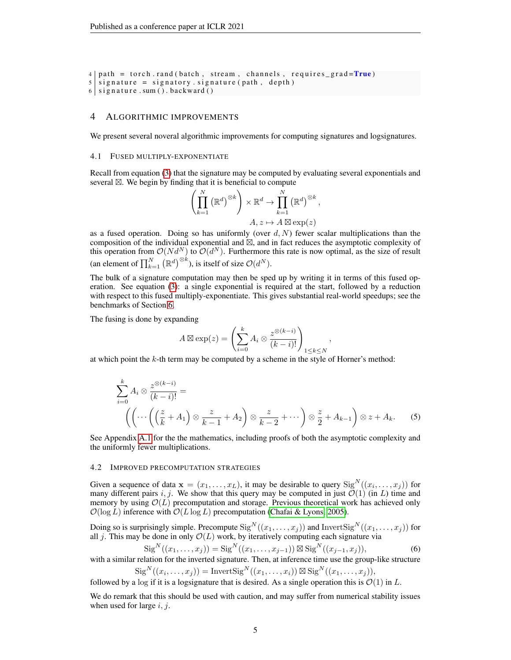```
4 \mid path = torch . rand (batch , stream , channels , requires <math>grad = True</math>)5 \mid signature = signatory . signature (path, depth)
6 \mid signature . sum ( ). backward ( )
```
### 4 ALGORITHMIC IMPROVEMENTS

We present several noveral algorithmic improvements for computing signatures and logsignatures.

### <span id="page-4-2"></span>4.1 FUSED MULTIPLY-EXPONENTIATE

Recall from equation [\(3\)](#page-2-2) that the signature may be computed by evaluating several exponentials and several  $\boxtimes$ . We begin by finding that it is beneficial to compute

$$
\left(\prod_{k=1}^{N} (\mathbb{R}^{d})^{\otimes k}\right) \times \mathbb{R}^{d} \to \prod_{k=1}^{N} (\mathbb{R}^{d})^{\otimes k},
$$

$$
A, z \mapsto A \boxtimes \exp(z)
$$

as a fused operation. Doing so has uniformly (over  $d, N$ ) fewer scalar multiplications than the composition of the individual exponential and  $\mathbb{Z}$ , and in fact reduces the asymptotic complexity of this operation from  $\mathcal{O}(Nd^N)$  to  $\mathcal{O}(d^N)$ . Furthermore this rate is now optimal, as the size of result (an element of  $\prod_{k=1}^{N} (\mathbb{R}^d)^{\otimes k}$ ), is itself of size  $\mathcal{O}(d^N)$ .

The bulk of a signature computation may then be sped up by writing it in terms of this fused operation. See equation [\(3\)](#page-2-2): a single exponential is required at the start, followed by a reduction with respect to this fused multiply-exponentiate. This gives substantial real-world speedups; see the benchmarks of Section [6.](#page-6-0)

The fusing is done by expanding

$$
A \boxtimes \exp(z) = \left(\sum_{i=0}^{k} A_i \otimes \frac{z^{\otimes (k-i)}}{(k-i)!}\right)_{1 \leq k \leq N}
$$

at which point the k-th term may be computed by a scheme in the style of Horner's method:

$$
\sum_{i=0}^{k} A_i \otimes \frac{z^{\otimes (k-i)}}{(k-i)!} = \left( \left( \cdots \left( \left( \frac{z}{k} + A_1 \right) \otimes \frac{z}{k-1} + A_2 \right) \otimes \frac{z}{k-2} + \cdots \right) \otimes \frac{z}{2} + A_{k-1} \right) \otimes z + A_k. \tag{5}
$$

<span id="page-4-1"></span>,

See Appendix [A.1](#page-11-0) for the the mathematics, including proofs of both the asymptotic complexity and the uniformly fewer multiplications.

### <span id="page-4-0"></span>4.2 IMPROVED PRECOMPUTATION STRATEGIES

Given a sequence of data  $\mathbf{x} = (x_1, \dots, x_L)$ , it may be desirable to query  $\text{Sig}^N((x_i, \dots, x_j))$  for many different pairs i, j. We show that this query may be computed in just  $\mathcal{O}(1)$  (in L) time and memory by using  $\mathcal{O}(L)$  precomputation and storage. Previous theoretical work has achieved only  $\mathcal{O}(\log L)$  inference with  $\mathcal{O}(L \log L)$  precomputation [\(Chafai & Lyons, 2005\)](#page-9-16).

Doing so is surprisingly simple. Precompute  $\text{Sig}^N((x_1,\ldots,x_j))$  and Invert $\text{Sig}^N((x_1,\ldots,x_j))$  for all j. This may be done in only  $\mathcal{O}(L)$  work, by iteratively computing each signature via

$$
SigN((x1,...,xj)) = SigN((x1,...,xj-1)) \boxtimes SigN((xj-1,xj)),
$$
 (6)

with a similar relation for the inverted signature. Then, at inference time use the group-like structure

$$
SigN((xi,...,xj)) = InvertSigN((x1,...,xi)) \boxtimes SigN((x1,...,xj)),
$$
 followed by a log if it is a logarithmic that is desired. As a single operation this is  $\mathcal{O}(1)$  in L.

We do remark that this should be used with caution, and may suffer from numerical stability issues when used for large  $i, j$ .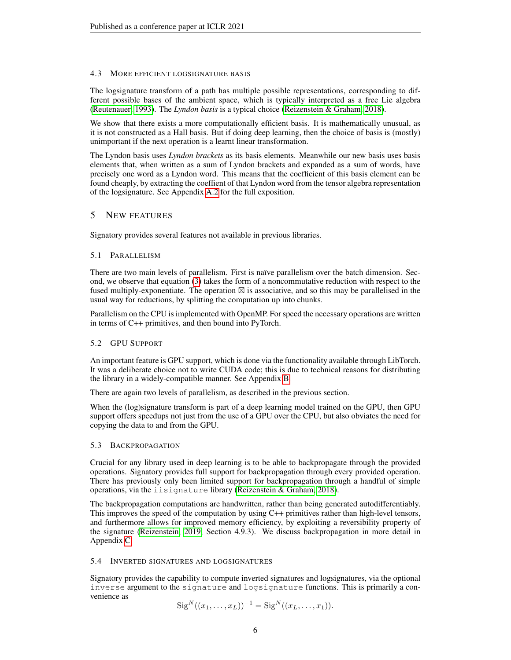# 4.3 MORE EFFICIENT LOGSIGNATURE BASIS

The logsignature transform of a path has multiple possible representations, corresponding to different possible bases of the ambient space, which is typically interpreted as a free Lie algebra [\(Reutenauer, 1993\)](#page-10-13). The *Lyndon basis* is a typical choice [\(Reizenstein & Graham, 2018\)](#page-10-9).

We show that there exists a more computationally efficient basis. It is mathematically unusual, as it is not constructed as a Hall basis. But if doing deep learning, then the choice of basis is (mostly) unimportant if the next operation is a learnt linear transformation.

The Lyndon basis uses *Lyndon brackets* as its basis elements. Meanwhile our new basis uses basis elements that, when written as a sum of Lyndon brackets and expanded as a sum of words, have precisely one word as a Lyndon word. This means that the coefficient of this basis element can be found cheaply, by extracting the coeffient of that Lyndon word from the tensor algebra representation of the logsignature. See Appendix [A.2](#page-14-0) for the full exposition.

# 5 NEW FEATURES

Signatory provides several features not available in previous libraries.

# <span id="page-5-0"></span>5.1 PARALLELISM

There are two main levels of parallelism. First is naïve parallelism over the batch dimension. Second, we observe that equation [\(3\)](#page-2-2) takes the form of a noncommutative reduction with respect to the fused multiply-exponentiate. The operation  $\boxtimes$  is associative, and so this may be parallelised in the usual way for reductions, by splitting the computation up into chunks.

Parallelism on the CPU is implemented with OpenMP. For speed the necessary operations are written in terms of C++ primitives, and then bound into PyTorch.

# 5.2 GPU SUPPORT

An important feature is GPU support, which is done via the functionality available through LibTorch. It was a deliberate choice not to write CUDA code; this is due to technical reasons for distributing the library in a widely-compatible manner. See Appendix [B.](#page-16-0)

There are again two levels of parallelism, as described in the previous section.

When the (log)signature transform is part of a deep learning model trained on the GPU, then GPU support offers speedups not just from the use of a GPU over the CPU, but also obviates the need for copying the data to and from the GPU.

# 5.3 BACKPROPAGATION

Crucial for any library used in deep learning is to be able to backpropagate through the provided operations. Signatory provides full support for backpropagation through every provided operation. There has previously only been limited support for backpropagation through a handful of simple operations, via the iisignature library [\(Reizenstein & Graham, 2018\)](#page-10-9).

The backpropagation computations are handwritten, rather than being generated autodifferentiably. This improves the speed of the computation by using C++ primitives rather than high-level tensors, and furthermore allows for improved memory efficiency, by exploiting a reversibility property of the signature [\(Reizenstein, 2019,](#page-10-14) Section 4.9.3). We discuss backpropagation in more detail in Appendix [C.](#page-16-1)

# 5.4 INVERTED SIGNATURES AND LOGSIGNATURES

Signatory provides the capability to compute inverted signatures and logsignatures, via the optional inverse argument to the signature and logsignature functions. This is primarily a convenience as

$$
Sig^{N}((x_1, ..., x_L))^{-1} = Sig^{N}((x_L, ..., x_1)).
$$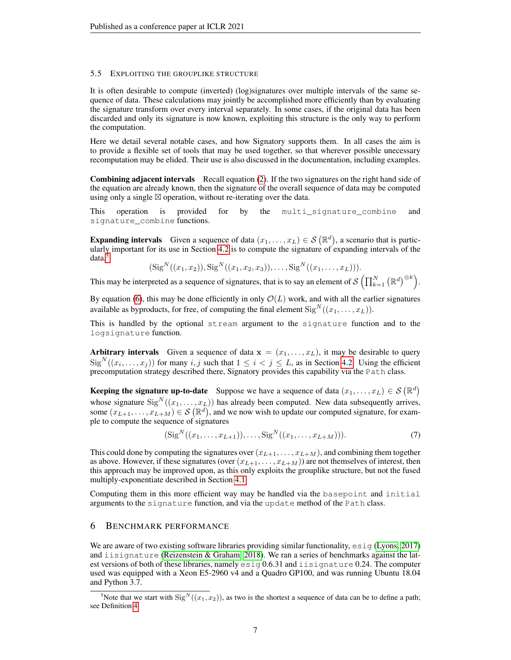# 5.5 EXPLOITING THE GROUPLIKE STRUCTURE

It is often desirable to compute (inverted) (log)signatures over multiple intervals of the same sequence of data. These calculations may jointly be accomplished more efficiently than by evaluating the signature transform over every interval separately. In some cases, if the original data has been discarded and only its signature is now known, exploiting this structure is the only way to perform the computation.

Here we detail several notable cases, and how Signatory supports them. In all cases the aim is to provide a flexible set of tools that may be used together, so that wherever possible unecessary recomputation may be elided. Their use is also discussed in the documentation, including examples.

Combining adjacent intervals Recall equation [\(2\)](#page-2-3). If the two signatures on the right hand side of the equation are already known, then the signature of the overall sequence of data may be computed using only a single  $\boxtimes$  operation, without re-iterating over the data.

This operation is provided for by the multi\_signature\_combine and signature\_combine functions.

**Expanding intervals** Given a sequence of data  $(x_1, \ldots, x_L) \in S(\mathbb{R}^d)$ , a scenario that is particularly important for its use in Section [4.2](#page-4-0) is to compute the signature of expanding intervals of the data.<sup>[5](#page-6-1)</sup>

$$
(\text{Sig}^N((x_1,x_2)), \text{Sig}^N((x_1,x_2,x_3)), \ldots, \text{Sig}^N((x_1,\ldots,x_L))).
$$

This may be interpreted as a sequence of signatures, that is to say an element of  $\mathcal{S}\left(\prod_{k=1}^N \left(\mathbb{R}^d\right)^{\otimes k}\right)$ .

By equation [\(6\)](#page-4-1), this may be done efficiently in only  $\mathcal{O}(L)$  work, and with all the earlier signatures available as byproducts, for free, of computing the final element  $\text{Sig}^N((x_1, \ldots, x_L)).$ 

This is handled by the optional stream argument to the signature function and to the logsignature function.

Arbitrary intervals Given a sequence of data  $x = (x_1, \ldots, x_L)$ , it may be desirable to query  $\text{Sig}^N((x_i,\ldots,x_j))$  for many  $i, j$  such that  $1 \leq i < j \leq L$ , as in Section [4.2.](#page-4-0) Using the efficient precomputation strategy described there, Signatory provides this capability via the Path class.

**Keeping the signature up-to-date** Suppose we have a sequence of data  $(x_1, \ldots, x_L) \in S(\mathbb{R}^d)$ whose signature  $\text{Sig}^N((x_1, \ldots, x_L))$  has already been computed. New data subsequently arrives, some  $(x_{L+1},...,x_{L+M}) \in \mathcal{S}(\mathbb{R}^d)$ , and we now wish to update our computed signature, for example to compute the sequence of signatures

$$
(\text{Sig}^N((x_1,\ldots,x_{L+1})),\ldots,\text{Sig}^N((x_1,\ldots,x_{L+M}))).\tag{7}
$$

This could done by computing the signatures over  $(x_{L+1}, \ldots, x_{L+M})$ , and combining them together as above. However, if these signatures (over  $(x_{L+1},...,x_{L+M})$ ) are not themselves of interest, then this approach may be improved upon, as this only exploits the grouplike structure, but not the fused multiply-exponentiate described in Section [4.1.](#page-4-2)

Computing them in this more efficient way may be handled via the basepoint and initial arguments to the signature function, and via the update method of the Path class.

# <span id="page-6-0"></span>6 BENCHMARK PERFORMANCE

We are aware of two existing software libraries providing similar functionality,  $\epsilon s i g$  [\(Lyons, 2017\)](#page-9-10) and iisignature [\(Reizenstein & Graham, 2018\)](#page-10-9). We ran a series of benchmarks against the latest versions of both of these libraries, namely esig 0.6.31 and iisignature 0.24. The computer used was equipped with a Xeon E5-2960 v4 and a Quadro GP100, and was running Ubuntu 18.04 and Python 3.7.

<span id="page-6-1"></span><sup>&</sup>lt;sup>5</sup>Note that we start with  $\text{Sig}^N((x_1, x_2))$ , as two is the shortest a sequence of data can be to define a path; see Definition [4.](#page-2-4)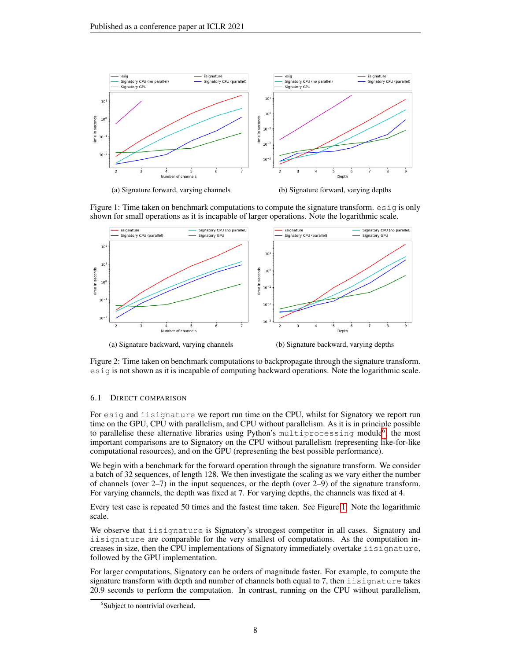<span id="page-7-1"></span>

Figure 1: Time taken on benchmark computations to compute the signature transform.  $\epsilon \sin \alpha$  is only shown for small operations as it is incapable of larger operations. Note the logarithmic scale.



Figure 2: Time taken on benchmark computations to backpropagate through the signature transform. esig is not shown as it is incapable of computing backward operations. Note the logarithmic scale.

### 6.1 DIRECT COMPARISON

For esig and iisignature we report run time on the CPU, whilst for Signatory we report run time on the GPU, CPU with parallelism, and CPU without parallelism. As it is in principle possible to parallelise these alternative libraries using Python's multiprocessing module<sup>[6](#page-7-0)</sup>, the most important comparisons are to Signatory on the CPU without parallelism (representing like-for-like computational resources), and on the GPU (representing the best possible performance).

We begin with a benchmark for the forward operation through the signature transform. We consider a batch of 32 sequences, of length 128. We then investigate the scaling as we vary either the number of channels (over  $2-7$ ) in the input sequences, or the depth (over  $2-9$ ) of the signature transform. For varying channels, the depth was fixed at 7. For varying depths, the channels was fixed at 4.

Every test case is repeated 50 times and the fastest time taken. See Figure [1.](#page-7-1) Note the logarithmic scale.

We observe that iisignature is Signatory's strongest competitor in all cases. Signatory and iisignature are comparable for the very smallest of computations. As the computation increases in size, then the CPU implementations of Signatory immediately overtake iisignature, followed by the GPU implementation.

For larger computations, Signatory can be orders of magnitude faster. For example, to compute the signature transform with depth and number of channels both equal to 7, then iisignature takes 20.9 seconds to perform the computation. In contrast, running on the CPU without parallelism,

<span id="page-7-0"></span><sup>&</sup>lt;sup>6</sup>Subject to nontrivial overhead.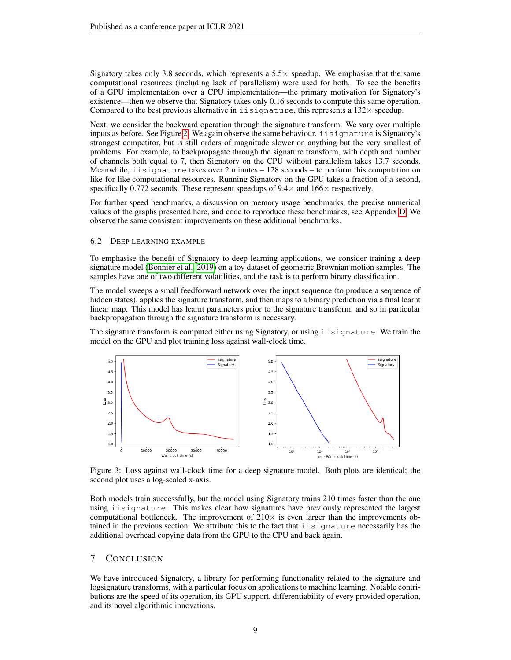Signatory takes only 3.8 seconds, which represents a  $5.5\times$  speedup. We emphasise that the same computational resources (including lack of parallelism) were used for both. To see the benefits of a GPU implementation over a CPU implementation—the primary motivation for Signatory's existence—then we observe that Signatory takes only 0.16 seconds to compute this same operation. Compared to the best previous alternative in  $i$  isignature, this represents a  $132 \times$  speedup.

Next, we consider the backward operation through the signature transform. We vary over multiple inputs as before. See Figure [2.](#page-7-1) We again observe the same behaviour. iisignature is Signatory's strongest competitor, but is still orders of magnitude slower on anything but the very smallest of problems. For example, to backpropagate through the signature transform, with depth and number of channels both equal to 7, then Signatory on the CPU without parallelism takes 13.7 seconds. Meanwhile, iisignature takes over 2 minutes – 128 seconds – to perform this computation on like-for-like computational resources. Running Signatory on the GPU takes a fraction of a second, specifically 0.772 seconds. These represent speedups of  $9.4 \times$  and  $166 \times$  respectively.

For further speed benchmarks, a discussion on memory usage benchmarks, the precise numerical values of the graphs presented here, and code to reproduce these benchmarks, see Appendix [D.](#page-17-0) We observe the same consistent improvements on these additional benchmarks.

### 6.2 DEEP LEARNING EXAMPLE

To emphasise the benefit of Signatory to deep learning applications, we consider training a deep signature model [\(Bonnier et al., 2019\)](#page-9-1) on a toy dataset of geometric Brownian motion samples. The samples have one of two different volatilities, and the task is to perform binary classification.

The model sweeps a small feedforward network over the input sequence (to produce a sequence of hidden states), applies the signature transform, and then maps to a binary prediction via a final learnt linear map. This model has learnt parameters prior to the signature transform, and so in particular backpropagation through the signature transform is necessary.

The signature transform is computed either using Signatory, or using iisignature. We train the model on the GPU and plot training loss against wall-clock time.



Figure 3: Loss against wall-clock time for a deep signature model. Both plots are identical; the second plot uses a log-scaled x-axis.

Both models train successfully, but the model using Signatory trains 210 times faster than the one using iisignature. This makes clear how signatures have previously represented the largest computational bottleneck. The improvement of  $210\times$  is even larger than the improvements obtained in the previous section. We attribute this to the fact that iisignature necessarily has the additional overhead copying data from the GPU to the CPU and back again.

# 7 CONCLUSION

We have introduced Signatory, a library for performing functionality related to the signature and logsignature transforms, with a particular focus on applications to machine learning. Notable contributions are the speed of its operation, its GPU support, differentiability of every provided operation, and its novel algorithmic innovations.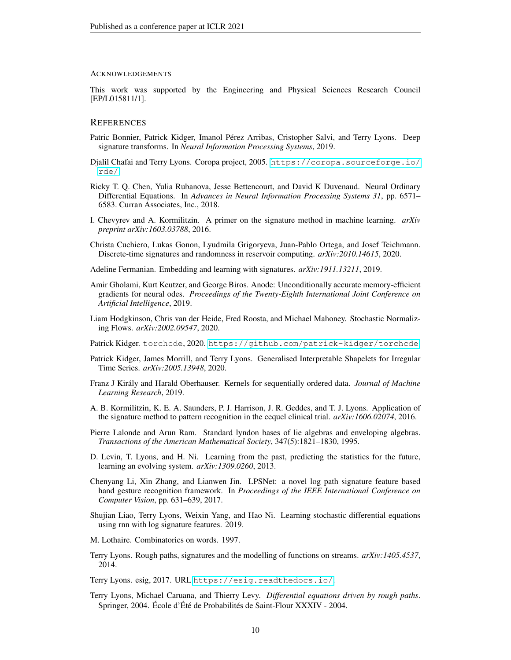#### ACKNOWLEDGEMENTS

This work was supported by the Engineering and Physical Sciences Research Council [EP/L015811/1].

### **REFERENCES**

- <span id="page-9-1"></span>Patric Bonnier, Patrick Kidger, Imanol Pérez Arribas, Cristopher Salvi, and Terry Lyons. Deep signature transforms. In *Neural Information Processing Systems*, 2019.
- <span id="page-9-16"></span>Djalil Chafai and Terry Lyons. Coropa project, 2005. [https://coropa.sourceforge.io/](https://coropa.sourceforge.io/rde/) [rde/](https://coropa.sourceforge.io/rde/).
- <span id="page-9-18"></span>Ricky T. Q. Chen, Yulia Rubanova, Jesse Bettencourt, and David K Duvenaud. Neural Ordinary Differential Equations. In *Advances in Neural Information Processing Systems 31*, pp. 6571– 6583. Curran Associates, Inc., 2018.
- <span id="page-9-6"></span>I. Chevyrev and A. Kormilitzin. A primer on the signature method in machine learning. *arXiv preprint arXiv:1603.03788*, 2016.
- <span id="page-9-15"></span>Christa Cuchiero, Lukas Gonon, Lyudmila Grigoryeva, Juan-Pablo Ortega, and Josef Teichmann. Discrete-time signatures and randomness in reservoir computing. *arXiv:2010.14615*, 2020.

<span id="page-9-3"></span>Adeline Fermanian. Embedding and learning with signatures. *arXiv:1911.13211*, 2019.

- <span id="page-9-19"></span>Amir Gholami, Kurt Keutzer, and George Biros. Anode: Unconditionally accurate memory-efficient gradients for neural odes. *Proceedings of the Twenty-Eighth International Joint Conference on Artificial Intelligence*, 2019.
- <span id="page-9-13"></span>Liam Hodgkinson, Chris van der Heide, Fred Roosta, and Michael Mahoney. Stochastic Normalizing Flows. *arXiv:2002.09547*, 2020.
- <span id="page-9-12"></span>Patrick Kidger. torchcde, 2020. <https://github.com/patrick-kidger/torchcde>.
- <span id="page-9-9"></span>Patrick Kidger, James Morrill, and Terry Lyons. Generalised Interpretable Shapelets for Irregular Time Series. *arXiv:2005.13948*, 2020.
- <span id="page-9-4"></span>Franz J Király and Harald Oberhauser. Kernels for sequentially ordered data. *Journal of Machine Learning Research*, 2019.
- <span id="page-9-7"></span>A. B. Kormilitzin, K. E. A. Saunders, P. J. Harrison, J. R. Geddes, and T. J. Lyons. Application of the signature method to pattern recognition in the cequel clinical trial. *arXiv:1606.02074*, 2016.
- <span id="page-9-17"></span>Pierre Lalonde and Arun Ram. Standard lyndon bases of lie algebras and enveloping algebras. *Transactions of the American Mathematical Society*, 347(5):1821–1830, 1995.
- <span id="page-9-5"></span>D. Levin, T. Lyons, and H. Ni. Learning from the past, predicting the statistics for the future, learning an evolving system. *arXiv:1309.0260*, 2013.
- <span id="page-9-8"></span>Chenyang Li, Xin Zhang, and Lianwen Jin. LPSNet: a novel log path signature feature based hand gesture recognition framework. In *Proceedings of the IEEE International Conference on Computer Vision*, pp. 631–639, 2017.
- <span id="page-9-2"></span>Shujian Liao, Terry Lyons, Weixin Yang, and Hao Ni. Learning stochastic differential equations using rnn with log signature features. 2019.
- <span id="page-9-14"></span>M. Lothaire. Combinatorics on words. 1997.
- <span id="page-9-0"></span>Terry Lyons. Rough paths, signatures and the modelling of functions on streams. *arXiv:1405.4537*, 2014.

<span id="page-9-10"></span>Terry Lyons. esig, 2017. URL <https://esig.readthedocs.io/>.

<span id="page-9-11"></span>Terry Lyons, Michael Caruana, and Thierry Levy. *Differential equations driven by rough paths*. Springer, 2004. École d'Été de Probabilités de Saint-Flour XXXIV - 2004.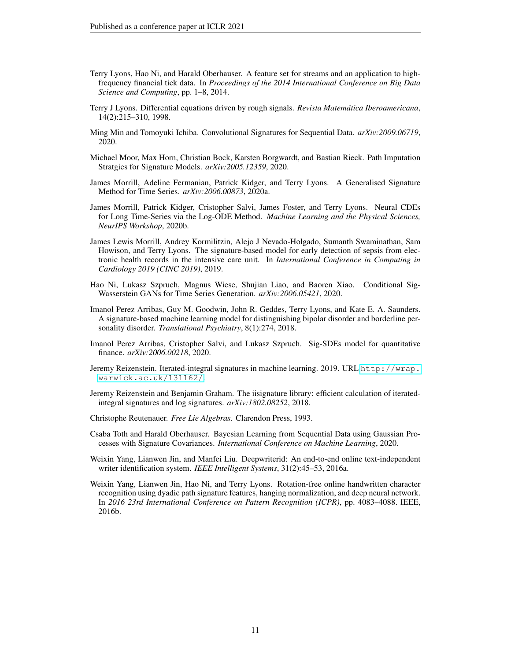- <span id="page-10-15"></span>Terry Lyons, Hao Ni, and Harald Oberhauser. A feature set for streams and an application to highfrequency financial tick data. In *Proceedings of the 2014 International Conference on Big Data Science and Computing*, pp. 1–8, 2014.
- <span id="page-10-0"></span>Terry J Lyons. Differential equations driven by rough signals. *Revista Matemática Iberoamericana*, 14(2):215–310, 1998.
- <span id="page-10-11"></span>Ming Min and Tomoyuki Ichiba. Convolutional Signatures for Sequential Data. *arXiv:2009.06719*, 2020.
- <span id="page-10-7"></span>Michael Moor, Max Horn, Christian Bock, Karsten Borgwardt, and Bastian Rieck. Path Imputation Stratgies for Signature Models. *arXiv:2005.12359*, 2020.
- <span id="page-10-8"></span>James Morrill, Adeline Fermanian, Patrick Kidger, and Terry Lyons. A Generalised Signature Method for Time Series. *arXiv:2006.00873*, 2020a.
- <span id="page-10-3"></span>James Morrill, Patrick Kidger, Cristopher Salvi, James Foster, and Terry Lyons. Neural CDEs for Long Time-Series via the Log-ODE Method. *Machine Learning and the Physical Sciences, NeurIPS Workshop*, 2020b.
- <span id="page-10-1"></span>James Lewis Morrill, Andrey Kormilitzin, Alejo J Nevado-Holgado, Sumanth Swaminathan, Sam Howison, and Terry Lyons. The signature-based model for early detection of sepsis from electronic health records in the intensive care unit. In *International Conference in Computing in Cardiology 2019 (CINC 2019)*, 2019.
- <span id="page-10-12"></span>Hao Ni, Lukasz Szpruch, Magnus Wiese, Shujian Liao, and Baoren Xiao. Conditional Sig-Wasserstein GANs for Time Series Generation. *arXiv:2006.05421*, 2020.
- <span id="page-10-6"></span>Imanol Perez Arribas, Guy M. Goodwin, John R. Geddes, Terry Lyons, and Kate E. A. Saunders. A signature-based machine learning model for distinguishing bipolar disorder and borderline personality disorder. *Translational Psychiatry*, 8(1):274, 2018.
- <span id="page-10-10"></span>Imanol Perez Arribas, Cristopher Salvi, and Lukasz Szpruch. Sig-SDEs model for quantitative finance. *arXiv:2006.00218*, 2020.
- <span id="page-10-14"></span>Jeremy Reizenstein. Iterated-integral signatures in machine learning. 2019. URL [http://wrap.](http://wrap.warwick.ac.uk/131162/) [warwick.ac.uk/131162/](http://wrap.warwick.ac.uk/131162/).
- <span id="page-10-9"></span>Jeremy Reizenstein and Benjamin Graham. The iisignature library: efficient calculation of iteratedintegral signatures and log signatures. *arXiv:1802.08252*, 2018.
- <span id="page-10-13"></span>Christophe Reutenauer. *Free Lie Algebras*. Clarendon Press, 1993.
- <span id="page-10-2"></span>Csaba Toth and Harald Oberhauser. Bayesian Learning from Sequential Data using Gaussian Processes with Signature Covariances. *International Conference on Machine Learning*, 2020.
- <span id="page-10-4"></span>Weixin Yang, Lianwen Jin, and Manfei Liu. Deepwriterid: An end-to-end online text-independent writer identification system. *IEEE Intelligent Systems*, 31(2):45–53, 2016a.
- <span id="page-10-5"></span>Weixin Yang, Lianwen Jin, Hao Ni, and Terry Lyons. Rotation-free online handwritten character recognition using dyadic path signature features, hanging normalization, and deep neural network. In *2016 23rd International Conference on Pattern Recognition (ICPR)*, pp. 4083–4088. IEEE, 2016b.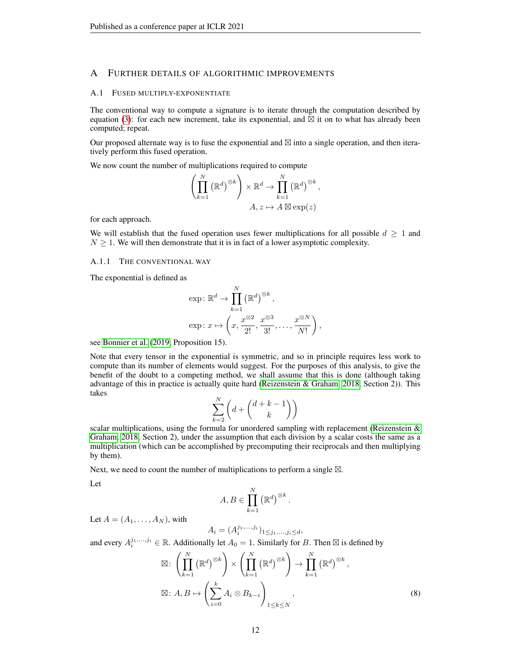# A FURTHER DETAILS OF ALGORITHMIC IMPROVEMENTS

# <span id="page-11-0"></span>A.1 FUSED MULTIPLY-EXPONENTIATE

The conventional way to compute a signature is to iterate through the computation described by equation [\(3\)](#page-2-2): for each new increment, take its exponential, and  $\overline{\boxtimes}$  it on to what has already been computed; repeat.

Our proposed alternate way is to fuse the exponential and  $\boxtimes$  into a single operation, and then iteratively perform this fused operation.

We now count the number of multiplications required to compute

$$
\left(\prod_{k=1}^{N} (\mathbb{R}^{d})^{\otimes k}\right) \times \mathbb{R}^{d} \to \prod_{k=1}^{N} (\mathbb{R}^{d})^{\otimes k},
$$

$$
A, z \mapsto A \boxtimes \exp(z)
$$

for each approach.

We will establish that the fused operation uses fewer multiplications for all possible  $d \geq 1$  and  $N \geq 1$ . We will then demonstrate that it is in fact of a lower asymptotic complexity.

# A.1.1 THE CONVENTIONAL WAY

The exponential is defined as

$$
\exp: \mathbb{R}^d \to \prod_{k=1}^N (\mathbb{R}^d)^{\otimes k},
$$
  

$$
\exp: x \mapsto \left(x, \frac{x^{\otimes 2}}{2!}, \frac{x^{\otimes 3}}{3!}, \dots, \frac{x^{\otimes N}}{N!}\right),
$$

see [Bonnier et al.](#page-9-1) [\(2019,](#page-9-1) Proposition 15).

Note that every tensor in the exponential is symmetric, and so in principle requires less work to compute than its number of elements would suggest. For the purposes of this analysis, to give the benefit of the doubt to a competing method, we shall assume that this is done (although taking advantage of this in practice is actually quite hard [\(Reizenstein & Graham, 2018,](#page-10-9) Section 2)). This takes

$$
\sum_{k=2}^N \left(d+\binom{d+k-1}{k}\right)
$$

scalar multiplications, using the formula for unordered sampling with replacement (Reizenstein  $\&$ [Graham, 2018,](#page-10-9) Section 2), under the assumption that each division by a scalar costs the same as a multiplication (which can be accomplished by precomputing their reciprocals and then multiplying by them).

Next, we need to count the number of multiplications to perform a single  $\boxtimes$ .

Let

$$
A, B \in \prod_{k=1}^{N} (\mathbb{R}^{d})^{\otimes k}.
$$

Let  $A = (A_1, \ldots, A_N)$ , with

$$
A_i = (A_i^{j_1, ..., j_i})_{1 \leq j_1, ..., j_i \leq d},
$$

and every  $A_i^{j_1,...,j_i} \in \mathbb{R}$ . Additionally let  $A_0 = 1$ . Similarly for B. Then  $\boxtimes$  is defined by

$$
\boxtimes: \left(\prod_{k=1}^{N} (\mathbb{R}^{d})^{\otimes k}\right) \times \left(\prod_{k=1}^{N} (\mathbb{R}^{d})^{\otimes k}\right) \to \prod_{k=1}^{N} (\mathbb{R}^{d})^{\otimes k},
$$

$$
\boxtimes: A, B \mapsto \left(\sum_{i=0}^{k} A_{i} \otimes B_{k-i}\right)_{1 \leq k \leq N},
$$
(8)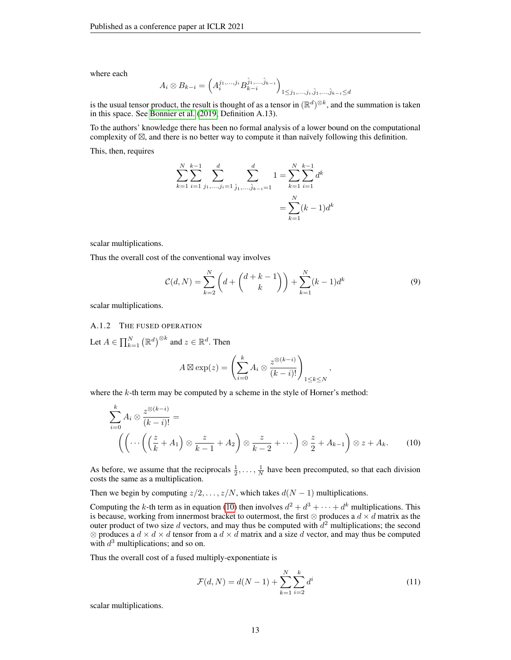where each

$$
A_i \otimes B_{k-i} = \left( A_i^{j_1, \dots, j_i} B_{k-i}^{\hat{j}_1, \dots, \hat{j}_{k-i}} \right)_{1 \leq j_1, \dots, j_i, \hat{j}_1, \dots, \hat{j}_{k-i} \leq d}
$$

is the usual tensor product, the result is thought of as a tensor in  $(\mathbb{R}^d)^{\otimes k}$ , and the summation is taken in this space. See [Bonnier et al.](#page-9-1) [\(2019,](#page-9-1) Definition A.13).

To the authors' knowledge there has been no formal analysis of a lower bound on the computational complexity of  $\boxtimes$ , and there is no better way to compute it than naïvely following this definition. This, then, requires

$$
\sum_{k=1}^{N} \sum_{i=1}^{k-1} \sum_{j_1, \dots, j_i=1}^{d} \sum_{\hat{j}_1, \dots, \hat{j}_{k-i}=1}^{d} 1 = \sum_{k=1}^{N} \sum_{i=1}^{k-1} d^k
$$

$$
= \sum_{k=1}^{N} (k-1)d^k
$$

scalar multiplications.

Thus the overall cost of the conventional way involves

<span id="page-12-1"></span>
$$
C(d, N) = \sum_{k=2}^{N} \left( d + \binom{d+k-1}{k} \right) + \sum_{k=1}^{N} (k-1)d^k
$$
 (9)

<span id="page-12-0"></span>,

scalar multiplications.

# A.1.2 THE FUSED OPERATION

Let  $A \in \prod_{k=1}^N \left( \mathbb{R}^d \right)^{\otimes k}$  and  $z \in \mathbb{R}^d$ . Then

$$
A \boxtimes \exp(z) = \left(\sum_{i=0}^{k} A_i \otimes \frac{z^{\otimes (k-i)}}{(k-i)!}\right)_{1 \leq k \leq N}
$$

where the  $k$ -th term may be computed by a scheme in the style of Horner's method:

$$
\sum_{i=0}^{k} A_i \otimes \frac{z^{\otimes (k-i)}}{(k-i)!} = \left( \left( \cdots \left( \left( \frac{z}{k} + A_1 \right) \otimes \frac{z}{k-1} + A_2 \right) \otimes \frac{z}{k-2} + \cdots \right) \otimes \frac{z}{2} + A_{k-1} \right) \otimes z + A_k. \tag{10}
$$

As before, we assume that the reciprocals  $\frac{1}{2}, \ldots, \frac{1}{N}$  have been precomputed, so that each division costs the same as a multiplication.

Then we begin by computing  $z/2, \ldots, z/N$ , which takes  $d(N - 1)$  multiplications.

Computing the k-th term as in equation [\(10\)](#page-12-0) then involves  $d^2 + d^3 + \cdots + d^k$  multiplications. This is because, working from innermost bracket to outermost, the first ⊗ produces a  $d \times d$  matrix as the outer product of two size d vectors, and may thus be computed with  $d^2$  multiplications; the second  $\otimes$  produces a  $d \times d \times d$  tensor from a  $d \times d$  matrix and a size d vector, and may thus be computed with  $d^3$  multiplications; and so on.

Thus the overall cost of a fused multiply-exponentiate is

$$
\mathcal{F}(d, N) = d(N - 1) + \sum_{k=1}^{N} \sum_{i=2}^{k} d^{i}
$$
\n(11)

scalar multiplications.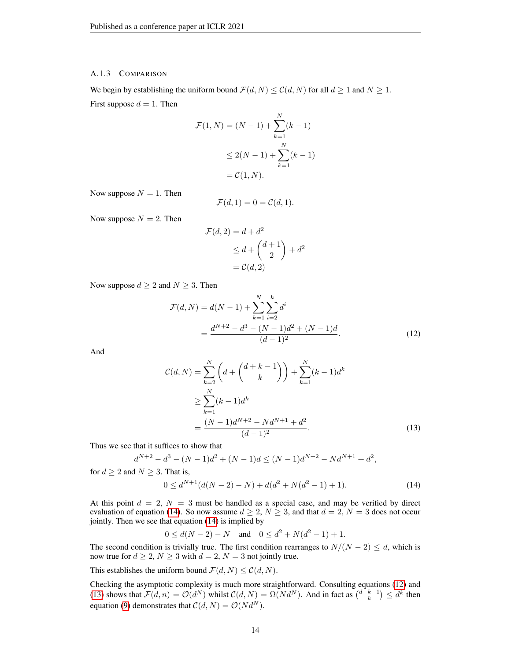### A.1.3 COMPARISON

We begin by establishing the uniform bound  $\mathcal{F}(d, N) \leq \mathcal{C}(d, N)$  for all  $d \geq 1$  and  $N \geq 1$ . First suppose  $d = 1$ . Then

$$
\mathcal{F}(1, N) = (N - 1) + \sum_{k=1}^{N} (k - 1)
$$
  
\n
$$
\leq 2(N - 1) + \sum_{k=1}^{N} (k - 1)
$$
  
\n
$$
= \mathcal{C}(1, N).
$$

Now suppose  $N = 1$ . Then

$$
\mathcal{F}(d,1) = 0 = \mathcal{C}(d,1).
$$

Now suppose  $N = 2$ . Then

<span id="page-13-1"></span>
$$
\mathcal{F}(d,2) = d + d^2
$$
  
\n
$$
\leq d + \binom{d+1}{2} + d^2
$$
  
\n
$$
= \mathcal{C}(d,2)
$$

Now suppose  $d \geq 2$  and  $N \geq 3$ . Then

$$
\mathcal{F}(d, N) = d(N - 1) + \sum_{k=1}^{N} \sum_{i=2}^{k} d^{i}
$$

$$
= \frac{d^{N+2} - d^{3} - (N - 1)d^{2} + (N - 1)d}{(d - 1)^{2}}.
$$
(12)

And

<span id="page-13-2"></span>
$$
\mathcal{C}(d, N) = \sum_{k=2}^{N} \left( d + \binom{d+k-1}{k} \right) + \sum_{k=1}^{N} (k-1)d^k
$$
  
\n
$$
\geq \sum_{k=1}^{N} (k-1)d^k
$$
  
\n
$$
= \frac{(N-1)d^{N+2} - Nd^{N+1} + d^2}{(d-1)^2}.
$$
 (13)

Thus we see that it suffices to show that

$$
d^{N+2} - d^3 - (N-1)d^2 + (N-1)d \le (N-1)d^{N+2} - Nd^{N+1} + d^2,
$$

for  $d \geq 2$  and  $N \geq 3$ . That is,

<span id="page-13-0"></span>
$$
0 \le d^{N+1}(d(N-2) - N) + d(d^2 + N(d^2 - 1) + 1). \tag{14}
$$

At this point  $d = 2$ ,  $N = 3$  must be handled as a special case, and may be verified by direct evaluation of equation [\(14\)](#page-13-0). So now assume  $d \geq 2$ ,  $N \geq 3$ , and that  $d = 2$ ,  $N = 3$  does not occur jointly. Then we see that equation [\(14\)](#page-13-0) is implied by

$$
0 \le d(N-2) - N
$$
 and  $0 \le d^2 + N(d^2 - 1) + 1$ .

The second condition is trivially true. The first condition rearranges to  $N/(N-2) \le d$ , which is now true for  $d \geq 2$ ,  $N \geq 3$  with  $d = 2$ ,  $N = 3$  not jointly true.

This establishes the uniform bound  $\mathcal{F}(d, N) \leq \mathcal{C}(d, N)$ .

Checking the asymptotic complexity is much more straightforward. Consulting equations [\(12\)](#page-13-1) and [\(13\)](#page-13-2) shows that  $\mathcal{F}(d,n) = \mathcal{O}(d^N)$  whilst  $\mathcal{C}(d,N) = \Omega(Nd^N)$ . And in fact as  $\binom{d+k-1}{k} \leq d^k$  then equation [\(9\)](#page-12-1) demonstrates that  $C(d, N) = \mathcal{O}(Nd^N)$ .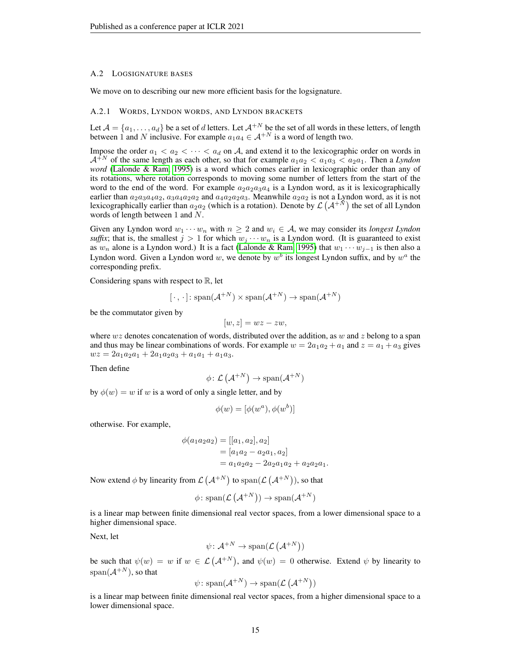### <span id="page-14-0"></span>A.2 LOGSIGNATURE BASES

We move on to describing our new more efficient basis for the logsignature.

#### A.2.1 WORDS, LYNDON WORDS, AND LYNDON BRACKETS

Let  $\mathcal{A} = \{a_1, \ldots, a_d\}$  be a set of d letters. Let  $\mathcal{A}^{+N}$  be the set of all words in these letters, of length between 1 and N inclusive. For example  $a_1a_4 \in \mathcal{A}^{+N}$  is a word of length two.

Impose the order  $a_1 < a_2 < \cdots < a_d$  on A, and extend it to the lexicographic order on words in  $A^{+N}$  of the same length as each other, so that for example  $a_1a_2 < a_1a_3 < a_2a_1$ . Then a *Lyndon word* [\(Lalonde & Ram, 1995\)](#page-9-17) is a word which comes earlier in lexicographic order than any of its rotations, where rotation corresponds to moving some number of letters from the start of the word to the end of the word. For example  $a_2a_2a_3a_4$  is a Lyndon word, as it is lexicographically earlier than  $a_2a_3a_4a_2$ ,  $a_3a_4a_2a_2$  and  $a_4a_2a_2a_3$ . Meanwhile  $a_2a_2$  is not a Lyndon word, as it is not lexicographically earlier than  $a_2a_2$  (which is a rotation). Denote by  $\mathcal{L}(\mathcal{A}^{+\tilde{N}})$  the set of all Lyndon words of length between 1 and N.

Given any Lyndon word  $w_1 \cdots w_n$  with  $n \geq 2$  and  $w_i \in A$ , we may consider its *longest Lyndon suffix*; that is, the smallest  $j > 1$  for which  $w_j \cdots w_n$  is a Lyndon word. (It is guaranteed to exist as  $w_n$  alone is a Lyndon word.) It is a fact [\(Lalonde & Ram, 1995\)](#page-9-17) that  $w_1 \cdots w_{j-1}$  is then also a Lyndon word. Given a Lyndon word w, we denote by  $w^b$  its longest Lyndon suffix, and by  $w^a$  the corresponding prefix.

Considering spans with respect to  $\mathbb{R}$ , let

$$
[\cdot,\cdot]:\mathrm{span}(\mathcal{A}^{+N})\times\mathrm{span}(\mathcal{A}^{+N})\to\mathrm{span}(\mathcal{A}^{+N})
$$

be the commutator given by

$$
[w, z] = wz - zw,
$$

where wz denotes concatenation of words, distributed over the addition, as w and z belong to a span and thus may be linear combinations of words. For example  $w = 2a_1a_2 + a_1$  and  $z = a_1 + a_3$  gives  $wz = 2a_1a_2a_1 + 2a_1a_2a_3 + a_1a_1 + a_1a_3.$ 

Then define

$$
\phi\colon \mathcal{L}\left(\mathcal{A}^{+N}\right) \to \text{span}(\mathcal{A}^{+N})
$$

by  $\phi(w) = w$  if w is a word of only a single letter, and by

$$
\phi(w) = [\phi(w^a), \phi(w^b)]
$$

otherwise. For example,

$$
\phi(a_1 a_2 a_2) = [[a_1, a_2], a_2]
$$
  
= [a\_1 a\_2 - a\_2 a\_1, a\_2]  
= a\_1 a\_2 a\_2 - 2 a\_2 a\_1 a\_2 + a\_2 a\_2 a\_1.

Now extend  $\phi$  by linearity from  $\mathcal{L}(\mathcal{A}^{+N})$  to  $\text{span}(\mathcal{L}(\mathcal{A}^{+N}))$ , so that

$$
\phi \colon \text{span}(\mathcal{L}(\mathcal{A}^{+N})) \to \text{span}(\mathcal{A}^{+N})
$$

is a linear map between finite dimensional real vector spaces, from a lower dimensional space to a higher dimensional space.

Next, let

$$
\psi \colon \mathcal{A}^{+N} \to \text{span}(\mathcal{L}(\mathcal{A}^{+N}))
$$

be such that  $\psi(w) = w$  if  $w \in \mathcal{L}(\mathcal{A}^{+N})$ , and  $\psi(w) = 0$  otherwise. Extend  $\psi$  by linearity to span $(A^{+N})$ , so that

$$
\psi
$$
: span $({\cal A}^{+N}) \to \text{span}({\cal L}({\cal A}^{+N}))$ 

is a linear map between finite dimensional real vector spaces, from a higher dimensional space to a lower dimensional space.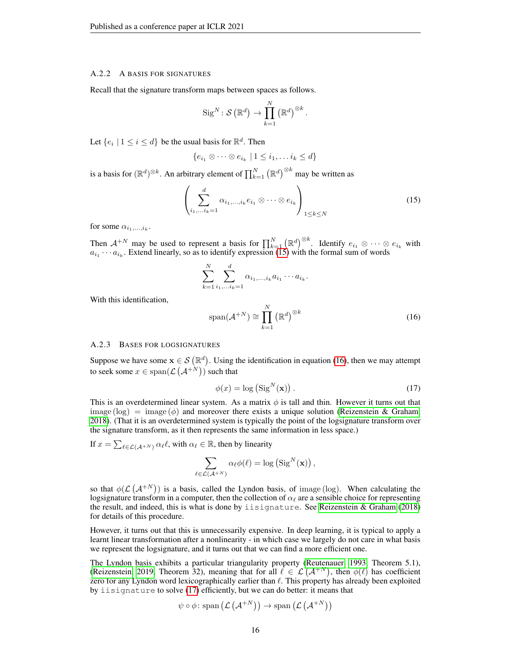#### A.2.2 A BASIS FOR SIGNATURES

Recall that the signature transform maps between spaces as follows.

$$
\operatorname{Sig}^N\colon \mathcal{S}\left(\mathbb{R}^d\right) \to \prod_{k=1}^N \left(\mathbb{R}^d\right)^{\otimes k}.
$$

Let  $\{e_i \mid 1 \leq i \leq d\}$  be the usual basis for  $\mathbb{R}^d$ . Then

<span id="page-15-0"></span>
$$
\{e_{i_1}\otimes\cdots\otimes e_{i_k}\mid 1\leq i_1,\ldots i_k\leq d\}
$$

is a basis for  $(\mathbb{R}^d)^{\otimes k}$ . An arbitrary element of  $\prod_{k=1}^N (\mathbb{R}^d)^{\otimes k}$  may be written as

$$
\left(\sum_{i_1,\dots,i_k=1}^d \alpha_{i_1,\dots,i_k} e_{i_1} \otimes \dots \otimes e_{i_k}\right)_{1 \leq k \leq N} \tag{15}
$$

for some  $\alpha_{i_1,\ldots,i_k}$ .

Then  $\mathcal{A}^{+N}$  may be used to represent a basis for  $\prod_{k=1}^N (\mathbb{R}^d)^{\otimes k}$ . Identify  $e_{i_1} \otimes \cdots \otimes e_{i_k}$  with  $a_{i_1} \cdots a_{i_k}$ . Extend linearly, so as to identify expression [\(15\)](#page-15-0) with the formal sum of words

$$
\sum_{k=1}^{N} \sum_{i_1,\ldots,i_k=1}^{d} \alpha_{i_1,\ldots,i_k} a_{i_1} \cdots a_{i_k}.
$$

With this identification,

<span id="page-15-1"></span>
$$
\text{span}(\mathcal{A}^{+N}) \cong \prod_{k=1}^{N} (\mathbb{R}^{d})^{\otimes k}
$$
 (16)

#### A.2.3 BASES FOR LOGSIGNATURES

Suppose we have some  $x \in \mathcal{S}(\mathbb{R}^d)$ . Using the identification in equation [\(16\)](#page-15-1), then we may attempt to seek some  $x \in \text{span}(\mathcal{L}\left(\mathcal{A}^{+N}\right))$  such that

<span id="page-15-2"></span>
$$
\phi(x) = \log\left(\text{Sig}^N(\mathbf{x})\right). \tag{17}
$$

This is an overdetermined linear system. As a matrix  $\phi$  is tall and thin. However it turns out that image (log) = image  $(\phi)$  and moreover there exists a unique solution [\(Reizenstein & Graham,](#page-10-9) [2018\)](#page-10-9). (That it is an overdetermined system is typically the point of the logsignature transform over the signature transform, as it then represents the same information in less space.)

If  $x = \sum_{\ell \in \mathcal{L}(\mathcal{A}^{+N})} \alpha_{\ell} \ell$ , with  $\alpha_{\ell} \in \mathbb{R}$ , then by linearity

$$
\sum_{\ell \in \mathcal{L}(\mathcal{A}^{+N})} \alpha_{\ell} \phi(\ell) = \log \left( \text{Sig}^N(\mathbf{x}) \right),
$$

so that  $\phi(\mathcal{L}(\mathcal{A}^{+N}))$  is a basis, called the Lyndon basis, of image (log). When calculating the logsignature transform in a computer, then the collection of  $\alpha_\ell$  are a sensible choice for representing the result, and indeed, this is what is done by iisignature. See [Reizenstein & Graham](#page-10-9) [\(2018\)](#page-10-9) for details of this procedure.

However, it turns out that this is unnecessarily expensive. In deep learning, it is typical to apply a learnt linear transformation after a nonlinearity - in which case we largely do not care in what basis we represent the logsignature, and it turns out that we can find a more efficient one.

The Lyndon basis exhibits a particular triangularity property [\(Reutenauer, 1993,](#page-10-13) Theorem 5.1), [\(Reizenstein, 2019,](#page-10-14) Theorem 32), meaning that for all  $\ell \in \mathcal{L}(\mathcal{A}^{+N})$ , then  $\phi(\ell)$  has coefficient zero for any Lyndon word lexicographically earlier than  $\ell$ . This property has already been exploited by iisignature to solve [\(17\)](#page-15-2) efficiently, but we can do better: it means that

$$
\psi \circ \phi \colon \mathrm{span}\left( \mathcal{L}\left( \mathcal{A}^{+N} \right) \right) \to \mathrm{span}\left( \mathcal{L}\left( \mathcal{A}^{+N} \right) \right)
$$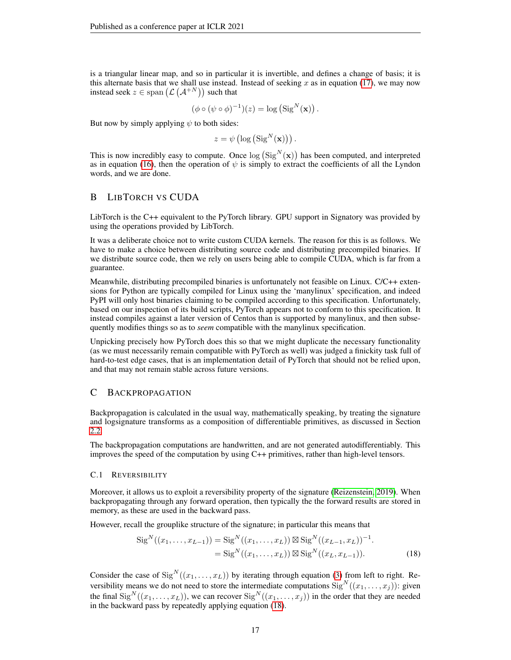is a triangular linear map, and so in particular it is invertible, and defines a change of basis; it is this alternate basis that we shall use instead. Instead of seeking  $x$  as in equation [\(17\)](#page-15-2), we may now instead seek  $z \in \text{span}(\mathcal{L}(\mathcal{A}^{+N}))$  such that

$$
(\phi \circ (\psi \circ \phi)^{-1})(z) = \log (\operatorname{Sig}^{N}(\mathbf{x})).
$$

But now by simply applying  $\psi$  to both sides:

 $z = \psi\left(\log\left(\text{Sig}^N(\mathbf{x})\right)\right).$ 

This is now incredibly easy to compute. Once  $\log(Sig^N(\mathbf{x}))$  has been computed, and interpreted as in equation [\(16\)](#page-15-1), then the operation of  $\psi$  is simply to extract the coefficients of all the Lyndon words, and we are done.

# <span id="page-16-0"></span>B LIBTORCH VS CUDA

LibTorch is the C++ equivalent to the PyTorch library. GPU support in Signatory was provided by using the operations provided by LibTorch.

It was a deliberate choice not to write custom CUDA kernels. The reason for this is as follows. We have to make a choice between distributing source code and distributing precompiled binaries. If we distribute source code, then we rely on users being able to compile CUDA, which is far from a guarantee.

Meanwhile, distributing precompiled binaries is unfortunately not feasible on Linux. C/C++ extensions for Python are typically compiled for Linux using the 'manylinux' specification, and indeed PyPI will only host binaries claiming to be compiled according to this specification. Unfortunately, based on our inspection of its build scripts, PyTorch appears not to conform to this specification. It instead compiles against a later version of Centos than is supported by manylinux, and then subsequently modifies things so as to *seem* compatible with the manylinux specification.

Unpicking precisely how PyTorch does this so that we might duplicate the necessary functionality (as we must necessarily remain compatible with PyTorch as well) was judged a finickity task full of hard-to-test edge cases, that is an implementation detail of PyTorch that should not be relied upon, and that may not remain stable across future versions.

# <span id="page-16-1"></span>C BACKPROPAGATION

Backpropagation is calculated in the usual way, mathematically speaking, by treating the signature and logsignature transforms as a composition of differentiable primitives, as discussed in Section [2.2.](#page-2-5)

The backpropagation computations are handwritten, and are not generated autodifferentiably. This improves the speed of the computation by using C++ primitives, rather than high-level tensors.

### C.1 REVERSIBILITY

Moreover, it allows us to exploit a reversibility property of the signature [\(Reizenstein, 2019\)](#page-10-14). When backpropagating through any forward operation, then typically the the forward results are stored in memory, as these are used in the backward pass.

However, recall the grouplike structure of the signature; in particular this means that

<span id="page-16-2"></span>
$$
SigN((x1,...,xL-1)) = SigN((x1,...,xL)) \boxtimes SigN((xL-1,xL))-1.
$$
  
= Sig<sup>N</sup>((x<sub>1</sub>,...,x<sub>L</sub>)) \boxtimes Sig<sup>N</sup>((x<sub>L</sub>,x<sub>L-1</sub>)). (18)

Consider the case of  $\text{Sig}^N((x_1, \ldots, x_L))$  by iterating through equation [\(3\)](#page-2-2) from left to right. Reversibility means we do not need to store the intermediate computations  $\text{Sig}^N((x_1, \ldots, x_j))$ : given the final  $\text{Sig}^N((x_1,\ldots,x_L))$ , we can recover  $\text{Sig}^N((x_1,\ldots,x_j))$  in the order that they are needed in the backward pass by repeatedly applying equation [\(18\)](#page-16-2).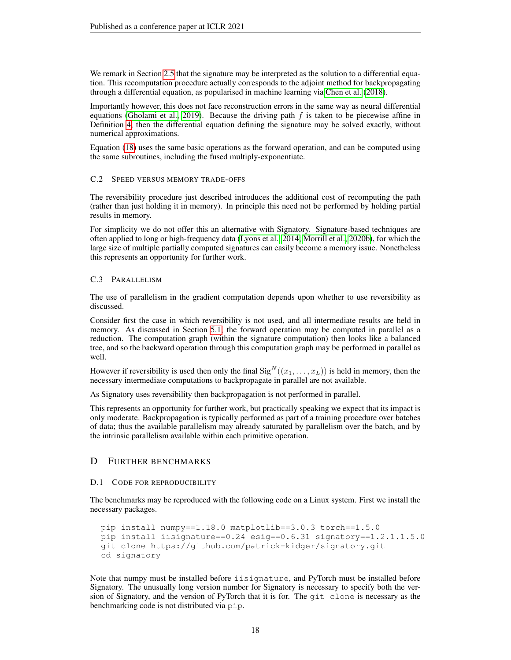We remark in Section [2.5](#page-3-1) that the signature may be interpreted as the solution to a differential equation. This recomputation procedure actually corresponds to the adjoint method for backpropagating through a differential equation, as popularised in machine learning via [Chen et al.](#page-9-18) [\(2018\)](#page-9-18).

Importantly however, this does not face reconstruction errors in the same way as neural differential equations [\(Gholami et al., 2019\)](#page-9-19). Because the driving path  $f$  is taken to be piecewise affine in Definition [4,](#page-2-4) then the differential equation defining the signature may be solved exactly, without numerical approximations.

Equation [\(18\)](#page-16-2) uses the same basic operations as the forward operation, and can be computed using the same subroutines, including the fused multiply-exponentiate.

### C.2 SPEED VERSUS MEMORY TRADE-OFFS

The reversibility procedure just described introduces the additional cost of recomputing the path (rather than just holding it in memory). In principle this need not be performed by holding partial results in memory.

For simplicity we do not offer this an alternative with Signatory. Signature-based techniques are often applied to long or high-frequency data [\(Lyons et al., 2014;](#page-10-15) [Morrill et al., 2020b\)](#page-10-3), for which the large size of multiple partially computed signatures can easily become a memory issue. Nonetheless this represents an opportunity for further work.

# C.3 PARALLELISM

The use of parallelism in the gradient computation depends upon whether to use reversibility as discussed.

Consider first the case in which reversibility is not used, and all intermediate results are held in memory. As discussed in Section [5.1,](#page-5-0) the forward operation may be computed in parallel as a reduction. The computation graph (within the signature computation) then looks like a balanced tree, and so the backward operation through this computation graph may be performed in parallel as well.

However if reversibility is used then only the final  $\text{Sig}^N((x_1, \ldots, x_L))$  is held in memory, then the necessary intermediate computations to backpropagate in parallel are not available.

As Signatory uses reversibility then backpropagation is not performed in parallel.

This represents an opportunity for further work, but practically speaking we expect that its impact is only moderate. Backpropagation is typically performed as part of a training procedure over batches of data; thus the available parallelism may already saturated by parallelism over the batch, and by the intrinsic parallelism available within each primitive operation.

# <span id="page-17-0"></span>D FURTHER BENCHMARKS

# D.1 CODE FOR REPRODUCIBILITY

The benchmarks may be reproduced with the following code on a Linux system. First we install the necessary packages.

```
pip install numpy==1.18.0 matplotlib==3.0.3 torch==1.5.0
pip install iisignature==0.24 esig==0.6.31 signatory==1.2.1.1.5.0
git clone https://github.com/patrick-kidger/signatory.git
cd signatory
```
Note that numpy must be installed before iisignature, and PyTorch must be installed before Signatory. The unusually long version number for Signatory is necessary to specify both the version of Signatory, and the version of PyTorch that it is for. The git clone is necessary as the benchmarking code is not distributed via pip.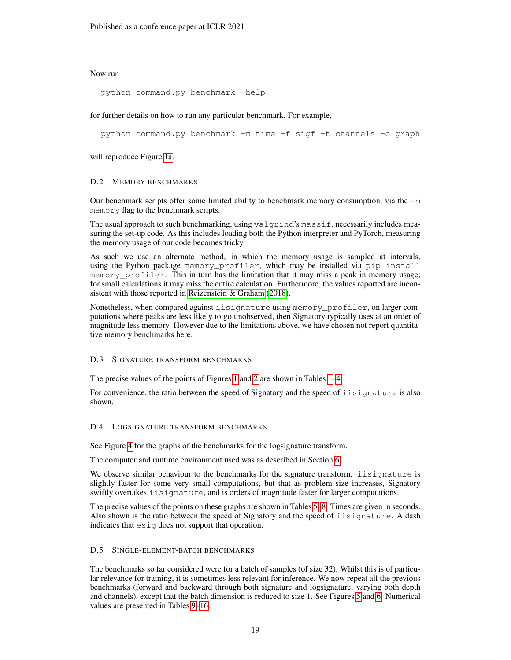# Now run

python command.py benchmark -help

for further details on how to run any particular benchmark. For example,

python command.py benchmark -m time -f sigf -t channels -o graph

will reproduce Figure [1a.](#page-7-1)

### D.2 MEMORY BENCHMARKS

Our benchmark scripts offer some limited ability to benchmark memory consumption, via the  $-m$ memory flag to the benchmark scripts.

The usual approach to such benchmarking, using valgrind's massif, necessarily includes measuring the set-up code. As this includes loading both the Python interpreter and PyTorch, measuring the memory usage of our code becomes tricky.

As such we use an alternate method, in which the memory usage is sampled at intervals, using the Python package memory\_profiler, which may be installed via pip install memory profiler. This in turn has the limitation that it may miss a peak in memory usage; for small calculations it may miss the entire calculation. Furthermore, the values reported are inconsistent with those reported in [Reizenstein & Graham](#page-10-9) [\(2018\)](#page-10-9).

Nonetheless, when compared against iisignature using memory\_profiler, on larger computations where peaks are less likely to go unobserved, then Signatory typically uses at an order of magnitude less memory. However due to the limitations above, we have chosen not report quantitative memory benchmarks here.

### D.3 SIGNATURE TRANSFORM BENCHMARKS

The precise values of the points of Figures [1](#page-7-1) and [2](#page-7-1) are shown in Tables [1](#page-19-0)[–4.](#page-20-0)

For convenience, the ratio between the speed of Signatory and the speed of iisignature is also shown.

### D.4 LOGSIGNATURE TRANSFORM BENCHMARKS

See Figure [4](#page-20-1) for the graphs of the benchmarks for the logsignature transform.

The computer and runtime environment used was as described in Section [6.](#page-6-0)

We observe similar behaviour to the benchmarks for the signature transform. iisignature is slightly faster for some very small computations, but that as problem size increases, Signatory swiftly overtakes iisignature, and is orders of magnitude faster for larger computations.

The precise values of the points on these graphs are shown in Tables [5–](#page-21-0)[8.](#page-22-0) Times are given in seconds. Also shown is the ratio between the speed of Signatory and the speed of iisignature. A dash indicates that esig does not support that operation.

# D.5 SINGLE-ELEMENT-BATCH BENCHMARKS

The benchmarks so far considered were for a batch of samples (of size 32). Whilst this is of particular relevance for training, it is sometimes less relevant for inference. We now repeat all the previous benchmarks (forward and backward through both signature and logsignature, varying both depth and channels), except that the batch dimension is reduced to size 1. See Figures [5](#page-22-1) and [6.](#page-23-0) Numerical values are presented in Tables [9](#page-23-1)[–16.](#page-26-0)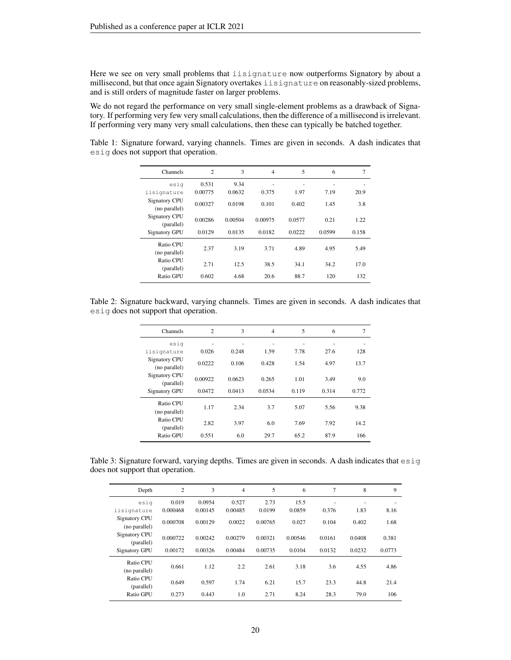Here we see on very small problems that iisignature now outperforms Signatory by about a millisecond, but that once again Signatory overtakes iisignature on reasonably-sized problems, and is still orders of magnitude faster on larger problems.

We do not regard the performance on very small single-element problems as a drawback of Signatory. If performing very few very small calculations, then the difference of a millisecond is irrelevant. If performing very many very small calculations, then these can typically be batched together.

<span id="page-19-0"></span>Table 1: Signature forward, varying channels. Times are given in seconds. A dash indicates that esig does not support that operation.

| <b>Channels</b>                       | $\overline{c}$ | 3       | $\overline{4}$ | 5      | 6      | 7     |
|---------------------------------------|----------------|---------|----------------|--------|--------|-------|
| esig                                  | 0.531          | 9.34    |                |        |        |       |
| iisignature                           | 0.00775        | 0.0632  | 0.375          | 1.97   | 7.19   | 20.9  |
| <b>Signatory CPU</b><br>(no parallel) | 0.00327        | 0.0198  | 0.101          | 0.402  | 1.45   | 3.8   |
| <b>Signatory CPU</b><br>(parallel)    | 0.00286        | 0.00504 | 0.00975        | 0.0577 | 0.21   | 1.22  |
| <b>Signatory GPU</b>                  | 0.0129         | 0.0135  | 0.0182         | 0.0222 | 0.0599 | 0.158 |
| Ratio CPU<br>(no parallel)            | 2.37           | 3.19    | 3.71           | 4.89   | 4.95   | 5.49  |
| Ratio CPU<br>(parallel)               | 2.71           | 12.5    | 38.5           | 34.1   | 34.2   | 17.0  |
| Ratio GPU                             | 0.602          | 4.68    | 20.6           | 88.7   | 120    | 132   |

Table 2: Signature backward, varying channels. Times are given in seconds. A dash indicates that esig does not support that operation.

| Channels                       | $\overline{2}$ | 3      | $\overline{4}$ | 5     | 6     | 7     |
|--------------------------------|----------------|--------|----------------|-------|-------|-------|
| esig                           |                |        |                |       |       |       |
| iisignature                    | 0.026          | 0.248  | 1.59           | 7.78  | 27.6  | 128   |
| Signatory CPU<br>(no parallel) | 0.0222         | 0.106  | 0.428          | 1.54  | 4.97  | 13.7  |
| Signatory CPU<br>(parallel)    | 0.00922        | 0.0623 | 0.265          | 1.01  | 3.49  | 9.0   |
| <b>Signatory GPU</b>           | 0.0472         | 0.0413 | 0.0534         | 0.119 | 0.314 | 0.772 |
| Ratio CPU<br>(no parallel)     | 1.17           | 2.34   | 3.7            | 5.07  | 5.56  | 9.38  |
| Ratio CPU<br>(parallel)        | 2.82           | 3.97   | 6.0            | 7.69  | 7.92  | 14.2  |
| Ratio GPU                      | 0.551          | 6.0    | 29.7           | 65.2  | 87.9  | 166   |

Table 3: Signature forward, varying depths. Times are given in seconds. A dash indicates that  $\epsilon$ sig does not support that operation.

| Depth                                 | $\overline{c}$ | 3       | $\overline{4}$ | 5       | 6       | 7      | 8      | 9      |
|---------------------------------------|----------------|---------|----------------|---------|---------|--------|--------|--------|
| esig                                  | 0.019          | 0.0954  | 0.527          | 2.73    | 15.5    | ٠      | ٠      | ۰      |
| iisignature                           | 0.000468       | 0.00145 | 0.00485        | 0.0199  | 0.0859  | 0.376  | 1.83   | 8.16   |
| <b>Signatory CPU</b><br>(no parallel) | 0.000708       | 0.00129 | 0.0022         | 0.00765 | 0.027   | 0.104  | 0.402  | 1.68   |
| <b>Signatory CPU</b><br>(parallel)    | 0.000722       | 0.00242 | 0.00279        | 0.00321 | 0.00546 | 0.0161 | 0.0408 | 0.381  |
| <b>Signatory GPU</b>                  | 0.00172        | 0.00326 | 0.00484        | 0.00735 | 0.0104  | 0.0132 | 0.0232 | 0.0773 |
| Ratio CPU<br>(no parallel)            | 0.661          | 1.12    | 2.2            | 2.61    | 3.18    | 3.6    | 4.55   | 4.86   |
| Ratio CPU<br>(parallel)               | 0.649          | 0.597   | 1.74           | 6.21    | 15.7    | 23.3   | 44.8   | 21.4   |
| Ratio GPU                             | 0.273          | 0.443   | 1.0            | 2.71    | 8.24    | 28.3   | 79.0   | 106    |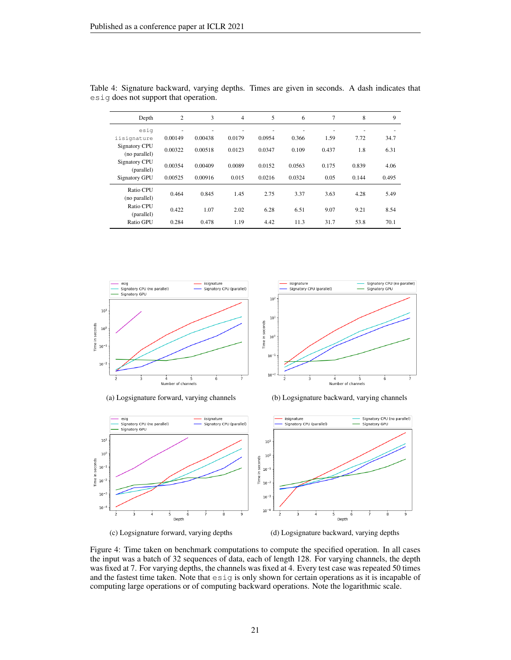| Depth                                 | $\overline{c}$ | 3       | 4      | 5      | 6      | $\overline{7}$ | 8     | 9                        |
|---------------------------------------|----------------|---------|--------|--------|--------|----------------|-------|--------------------------|
| esig                                  | ٠              | ٠       | ٠      | ٠      | ٠      | ٠              | ٠     | $\overline{\phantom{a}}$ |
| iisignature                           | 0.00149        | 0.00438 | 0.0179 | 0.0954 | 0.366  | 1.59           | 7.72  | 34.7                     |
| <b>Signatory CPU</b><br>(no parallel) | 0.00322        | 0.00518 | 0.0123 | 0.0347 | 0.109  | 0.437          | 1.8   | 6.31                     |
| <b>Signatory CPU</b><br>(parallel)    | 0.00354        | 0.00409 | 0.0089 | 0.0152 | 0.0563 | 0.175          | 0.839 | 4.06                     |
| <b>Signatory GPU</b>                  | 0.00525        | 0.00916 | 0.015  | 0.0216 | 0.0324 | 0.05           | 0.144 | 0.495                    |
| Ratio CPU<br>(no parallel)            | 0.464          | 0.845   | 1.45   | 2.75   | 3.37   | 3.63           | 4.28  | 5.49                     |
| Ratio CPU<br>(parallel)               | 0.422          | 1.07    | 2.02   | 6.28   | 6.51   | 9.07           | 9.21  | 8.54                     |
| Ratio GPU                             | 0.284          | 0.478   | 1.19   | 4.42   | 11.3   | 31.7           | 53.8  | 70.1                     |

<span id="page-20-0"></span>Table 4: Signature backward, varying depths. Times are given in seconds. A dash indicates that esig does not support that operation.

<span id="page-20-1"></span>

iisignature<br>Signatory CPU (parallel) Signatory CPU (no parallel)<br>Signatory GPU  $10<sup>1</sup>$ 10 Time in seconds  $10<sup>0</sup>$  $10^{-}$  $10$  $\frac{1}{4}$  5<br>Number of channels

(a) Logsignature forward, varying channels (b) Logsignature backward, varying channels



(c) Logsignature forward, varying depths (d) Logsignature backward, varying depths

Figure 4: Time taken on benchmark computations to compute the specified operation. In all cases the input was a batch of 32 sequences of data, each of length 128. For varying channels, the depth was fixed at 7. For varying depths, the channels was fixed at 4. Every test case was repeated 50 times and the fastest time taken. Note that esig is only shown for certain operations as it is incapable of computing large operations or of computing backward operations. Note the logarithmic scale.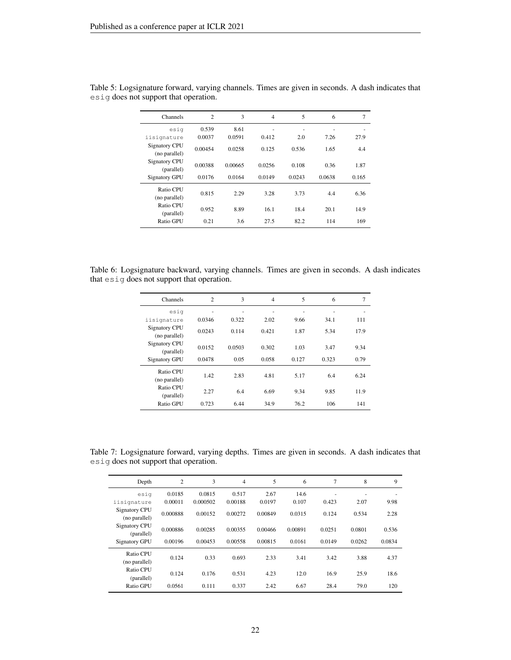| Channels                       | $\overline{c}$ | 3       | $\overline{4}$ | 5      | 6      | 7     |
|--------------------------------|----------------|---------|----------------|--------|--------|-------|
| esig                           | 0.539          | 8.61    | ٠              | ٠      |        |       |
| iisignature                    | 0.0037         | 0.0591  | 0.412          | 2.0    | 7.26   | 27.9  |
| Signatory CPU<br>(no parallel) | 0.00454        | 0.0258  | 0.125          | 0.536  | 1.65   | 4.4   |
| Signatory CPU<br>(parallel)    | 0.00388        | 0.00665 | 0.0256         | 0.108  | 0.36   | 1.87  |
| <b>Signatory GPU</b>           | 0.0176         | 0.0164  | 0.0149         | 0.0243 | 0.0638 | 0.165 |
| Ratio CPU<br>(no parallel)     | 0.815          | 2.29    | 3.28           | 3.73   | 4.4    | 6.36  |
| Ratio CPU<br>(parallel)        | 0.952          | 8.89    | 16.1           | 18.4   | 20.1   | 14.9  |
| Ratio GPU                      | 0.21           | 3.6     | 27.5           | 82.2   | 114    | 169   |

<span id="page-21-0"></span>Table 5: Logsignature forward, varying channels. Times are given in seconds. A dash indicates that esig does not support that operation.

Table 6: Logsignature backward, varying channels. Times are given in seconds. A dash indicates that esig does not support that operation.

| Channels                       | $\overline{c}$ | 3      | $\overline{4}$ | 5     | 6     | $\overline{7}$ |
|--------------------------------|----------------|--------|----------------|-------|-------|----------------|
| esig                           | ۰              | ٠      | ٠              | ٠     |       | ٠              |
| iisignature                    | 0.0346         | 0.322  | 2.02           | 9.66  | 34.1  | 111            |
| Signatory CPU<br>(no parallel) | 0.0243         | 0.114  | 0.421          | 1.87  | 5.34  | 17.9           |
| Signatory CPU<br>(parallel)    | 0.0152         | 0.0503 | 0.302          | 1.03  | 3.47  | 9.34           |
| <b>Signatory GPU</b>           | 0.0478         | 0.05   | 0.058          | 0.127 | 0.323 | 0.79           |
| Ratio CPU<br>(no parallel)     | 1.42           | 2.83   | 4.81           | 5.17  | 6.4   | 6.24           |
| Ratio CPU<br>(parallel)        | 2.27           | 6.4    | 6.69           | 9.34  | 9.85  | 11.9           |
| Ratio GPU                      | 0.723          | 6.44   | 34.9           | 76.2  | 106   | 141            |

Table 7: Logsignature forward, varying depths. Times are given in seconds. A dash indicates that esig does not support that operation.

| Depth                                 | $\mathfrak{2}$ | 3        | $\overline{4}$ | 5       | 6       | 7      | 8      | 9      |
|---------------------------------------|----------------|----------|----------------|---------|---------|--------|--------|--------|
| esig                                  | 0.0185         | 0.0815   | 0.517          | 2.67    | 14.6    | ٠      | ۰      |        |
| iisignature                           | 0.00011        | 0.000502 | 0.00188        | 0.0197  | 0.107   | 0.423  | 2.07   | 9.98   |
| <b>Signatory CPU</b><br>(no parallel) | 0.000888       | 0.00152  | 0.00272        | 0.00849 | 0.0315  | 0.124  | 0.534  | 2.28   |
| <b>Signatory CPU</b><br>(parallel)    | 0.000886       | 0.00285  | 0.00355        | 0.00466 | 0.00891 | 0.0251 | 0.0801 | 0.536  |
| <b>Signatory GPU</b>                  | 0.00196        | 0.00453  | 0.00558        | 0.00815 | 0.0161  | 0.0149 | 0.0262 | 0.0834 |
| Ratio CPU<br>(no parallel)            | 0.124          | 0.33     | 0.693          | 2.33    | 3.41    | 3.42   | 3.88   | 4.37   |
| Ratio CPU<br>(parallel)               | 0.124          | 0.176    | 0.531          | 4.23    | 12.0    | 16.9   | 25.9   | 18.6   |
| Ratio GPU                             | 0.0561         | 0.111    | 0.337          | 2.42    | 6.67    | 28.4   | 79.0   | 120    |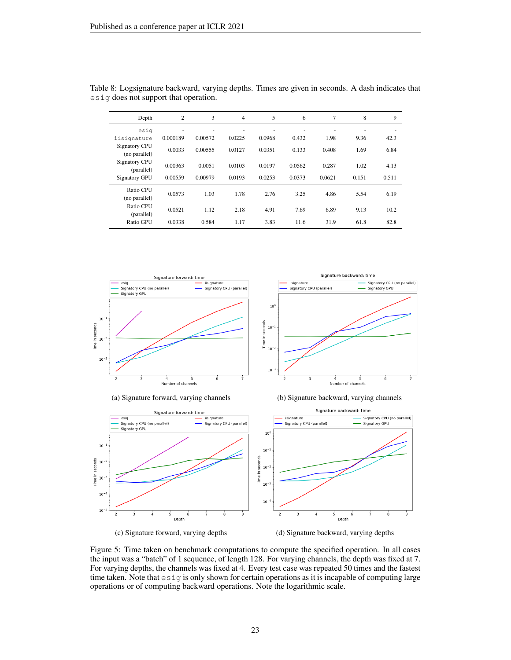| Depth                                 | $\overline{2}$ | 3       | $\overline{4}$ | 5      | 6      | 7      | 8     | 9     |
|---------------------------------------|----------------|---------|----------------|--------|--------|--------|-------|-------|
| esig                                  |                |         |                |        |        |        |       |       |
| iisignature                           | 0.000189       | 0.00572 | 0.0225         | 0.0968 | 0.432  | 1.98   | 9.36  | 42.3  |
| <b>Signatory CPU</b><br>(no parallel) | 0.0033         | 0.00555 | 0.0127         | 0.0351 | 0.133  | 0.408  | 1.69  | 6.84  |
| <b>Signatory CPU</b><br>(parallel)    | 0.00363        | 0.0051  | 0.0103         | 0.0197 | 0.0562 | 0.287  | 1.02  | 4.13  |
| <b>Signatory GPU</b>                  | 0.00559        | 0.00979 | 0.0193         | 0.0253 | 0.0373 | 0.0621 | 0.151 | 0.511 |
| Ratio CPU<br>(no parallel)            | 0.0573         | 1.03    | 1.78           | 2.76   | 3.25   | 4.86   | 5.54  | 6.19  |
| Ratio CPU<br>(parallel)               | 0.0521         | 1.12    | 2.18           | 4.91   | 7.69   | 6.89   | 9.13  | 10.2  |
| Ratio GPU                             | 0.0338         | 0.584   | 1.17           | 3.83   | 11.6   | 31.9   | 61.8  | 82.8  |

<span id="page-22-0"></span>

| Table 8: Logsignature backward, varying depths. Times are given in seconds. A dash indicates that |  |  |  |  |
|---------------------------------------------------------------------------------------------------|--|--|--|--|
| esig does not support that operation.                                                             |  |  |  |  |

<span id="page-22-1"></span>





Figure 5: Time taken on benchmark computations to compute the specified operation. In all cases the input was a "batch" of 1 sequence, of length 128. For varying channels, the depth was fixed at 7. For varying depths, the channels was fixed at 4. Every test case was repeated 50 times and the fastest time taken. Note that esig is only shown for certain operations as it is incapable of computing large operations or of computing backward operations. Note the logarithmic scale.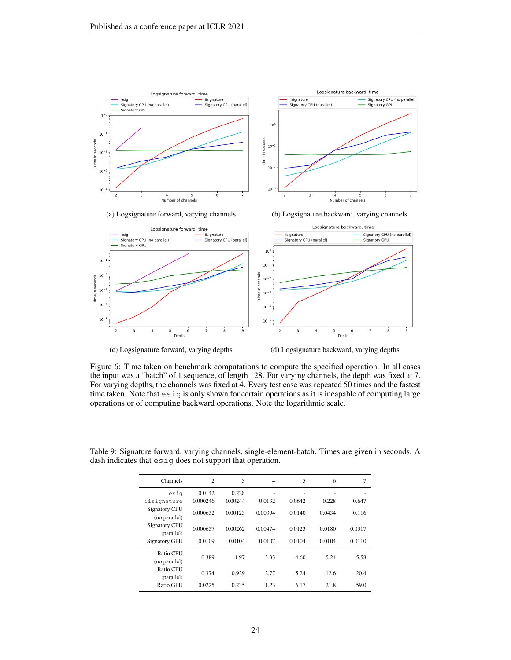<span id="page-23-0"></span>



Figure 6: Time taken on benchmark computations to compute the specified operation. In all cases the input was a "batch" of 1 sequence, of length 128. For varying channels, the depth was fixed at 7. For varying depths, the channels was fixed at 4. Every test case was repeated 50 times and the fastest time taken. Note that esig is only shown for certain operations as it is incapable of computing large operations or of computing backward operations. Note the logarithmic scale.

| Channels                              | $\overline{c}$ | 3       | $\overline{4}$ | 5      | 6      | 7      |
|---------------------------------------|----------------|---------|----------------|--------|--------|--------|
| esiq                                  | 0.0142         | 0.228   |                |        |        |        |
| iisignature                           | 0.000246       | 0.00244 | 0.0132         | 0.0642 | 0.228  | 0.647  |
| <b>Signatory CPU</b><br>(no parallel) | 0.000632       | 0.00123 | 0.00394        | 0.0140 | 0.0434 | 0.116  |
| <b>Signatory CPU</b><br>(parallel)    | 0.000657       | 0.00262 | 0.00474        | 0.0123 | 0.0180 | 0.0317 |
| <b>Signatory GPU</b>                  | 0.0109         | 0.0104  | 0.0107         | 0.0104 | 0.0104 | 0.0110 |
| Ratio CPU<br>(no parallel)            | 0.389          | 1.97    | 3.33           | 4.60   | 5.24   | 5.58   |
| Ratio CPU<br>(parallel)               | 0.374          | 0.929   | 2.77           | 5.24   | 12.6   | 20.4   |
| Ratio GPU                             | 0.0225         | 0.235   | 1.23           | 6.17   | 21.8   | 59.0   |

<span id="page-23-1"></span>Table 9: Signature forward, varying channels, single-element-batch. Times are given in seconds. A dash indicates that esig does not support that operation.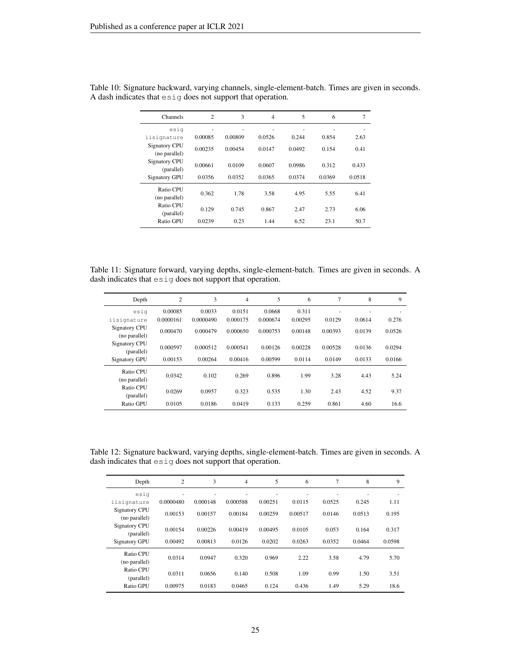| Channels                       | $\overline{c}$ | 3            | $\overline{4}$ | 5      | 6      | 7         |
|--------------------------------|----------------|--------------|----------------|--------|--------|-----------|
| esig<br>iisignature            | ٠<br>0.00085   | ٠<br>0.00809 | ٠<br>0.0526    | 0.244  | 0.854  | ٠<br>2.63 |
| Signatory CPU<br>(no parallel) | 0.00235        | 0.00454      | 0.0147         | 0.0492 | 0.154  | 0.41      |
| Signatory CPU<br>(parallel)    | 0.00661        | 0.0109       | 0.0607         | 0.0986 | 0.312  | 0.433     |
| <b>Signatory GPU</b>           | 0.0356         | 0.0352       | 0.0365         | 0.0374 | 0.0369 | 0.0518    |
| Ratio CPU<br>(no parallel)     | 0.362          | 1.78         | 3.58           | 4.95   | 5.55   | 6.41      |
| Ratio CPU<br>(parallel)        | 0.129          | 0.745        | 0.867          | 2.47   | 2.73   | 6.06      |
| Ratio GPU                      | 0.0239         | 0.23         | 1.44           | 6.52   | 23.1   | 50.7      |

Table 10: Signature backward, varying channels, single-element-batch. Times are given in seconds. A dash indicates that esig does not support that operation.

Table 11: Signature forward, varying depths, single-element-batch. Times are given in seconds. A dash indicates that esig does not support that operation.

| Depth                                 | $\overline{c}$ | 3         | $\overline{4}$ | 5        | 6       | 7       | 8      | 9      |
|---------------------------------------|----------------|-----------|----------------|----------|---------|---------|--------|--------|
| esig                                  | 0.00085        | 0.0033    | 0.0151         | 0.0668   | 0.311   | ٠       |        | ۰      |
| iisignature                           | 0.0000161      | 0.0000490 | 0.000175       | 0.000674 | 0.00295 | 0.0129  | 0.0614 | 0.276  |
| <b>Signatory CPU</b><br>(no parallel) | 0.000470       | 0.000479  | 0.000650       | 0.000753 | 0.00148 | 0.00393 | 0.0139 | 0.0526 |
| Signatory CPU<br>(parallel)           | 0.000597       | 0.000512  | 0.000541       | 0.00126  | 0.00228 | 0.00528 | 0.0136 | 0.0294 |
| <b>Signatory GPU</b>                  | 0.00153        | 0.00264   | 0.00416        | 0.00599  | 0.0114  | 0.0149  | 0.0133 | 0.0166 |
| Ratio CPU<br>(no parallel)            | 0.0342         | 0.102     | 0.269          | 0.896    | 1.99    | 3.28    | 4.43   | 5.24   |
| Ratio CPU<br>(parallel)               | 0.0269         | 0.0957    | 0.323          | 0.535    | 1.30    | 2.43    | 4.52   | 9.37   |
| Ratio GPU                             | 0.0105         | 0.0186    | 0.0419         | 0.133    | 0.259   | 0.861   | 4.60   | 16.6   |

Table 12: Signature backward, varying depths, single-element-batch. Times are given in seconds. A dash indicates that esig does not support that operation.

| Depth                                 | $\overline{2}$ | 3        | 4        | 5       | 6       | 7                        | 8      | 9      |
|---------------------------------------|----------------|----------|----------|---------|---------|--------------------------|--------|--------|
| esig                                  | ٠              | ٠        | ۰        | ۰       | ۰       | $\overline{\phantom{a}}$ | ٠      | ۰      |
| iisignature                           | 0.0000480      | 0.000148 | 0.000588 | 0.00251 | 0.0115  | 0.0525                   | 0.245  | 1.11   |
| <b>Signatory CPU</b><br>(no parallel) | 0.00153        | 0.00157  | 0.00184  | 0.00259 | 0.00517 | 0.0146                   | 0.0513 | 0.195  |
| <b>Signatory CPU</b><br>(parallel)    | 0.00154        | 0.00226  | 0.00419  | 0.00495 | 0.0105  | 0.053                    | 0.164  | 0.317  |
| <b>Signatory GPU</b>                  | 0.00492        | 0.00813  | 0.0126   | 0.0202  | 0.0263  | 0.0352                   | 0.0464 | 0.0598 |
| Ratio CPU<br>(no parallel)            | 0.0314         | 0.0947   | 0.320    | 0.969   | 2.22    | 3.58                     | 4.79   | 5.70   |
| Ratio CPU<br>(parallel)               | 0.0311         | 0.0656   | 0.140    | 0.508   | 1.09    | 0.99                     | 1.50   | 3.51   |
| Ratio GPU                             | 0.00975        | 0.0183   | 0.0465   | 0.124   | 0.436   | 1.49                     | 5.29   | 18.6   |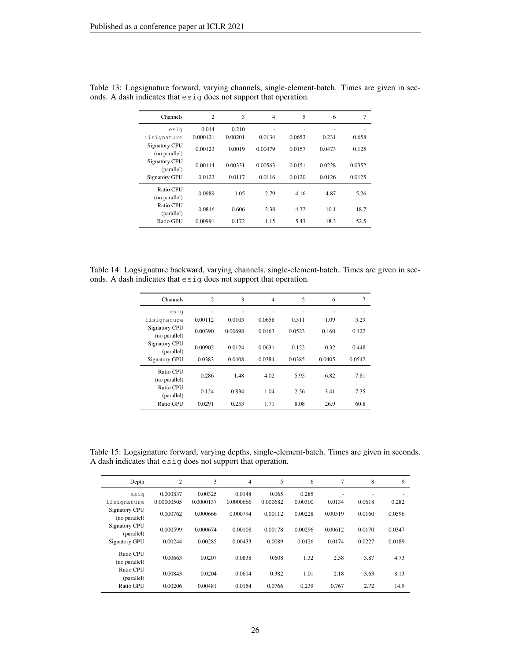| Channels                              | $\overline{c}$ | 3       | $\overline{4}$ | 5      | 6      | 7      |
|---------------------------------------|----------------|---------|----------------|--------|--------|--------|
| esig                                  | 0.014          | 0.210   | -              | -      |        |        |
| iisignature                           | 0.000121       | 0.00201 | 0.0134         | 0.0653 | 0.231  | 0.658  |
| <b>Signatory CPU</b><br>(no parallel) | 0.00123        | 0.0019  | 0.00479        | 0.0157 | 0.0473 | 0.125  |
| <b>Signatory CPU</b><br>(parallel)    | 0.00144        | 0.00331 | 0.00563        | 0.0151 | 0.0228 | 0.0352 |
| <b>Signatory GPU</b>                  | 0.0123         | 0.0117  | 0.0116         | 0.0120 | 0.0126 | 0.0125 |
| Ratio CPU<br>(no parallel)            | 0.0989         | 1.05    | 2.79           | 4.16   | 4.87   | 5.26   |
| Ratio CPU<br>(parallel)               | 0.0846         | 0.606   | 2.38           | 4.32   | 10.1   | 18.7   |
| Ratio GPU                             | 0.00991        | 0.172   | 1.15           | 5.43   | 18.3   | 52.5   |

Table 13: Logsignature forward, varying channels, single-element-batch. Times are given in seconds. A dash indicates that esig does not support that operation.

Table 14: Logsignature backward, varying channels, single-element-batch. Times are given in seconds. A dash indicates that esig does not support that operation.

| <b>Channels</b>                | $\overline{2}$ | 3       | $\overline{4}$ | 5      | 6      | $\overline{7}$ |
|--------------------------------|----------------|---------|----------------|--------|--------|----------------|
| esig                           | ٠              | ٠       | ٠              | ٠      | ٠      | ٠              |
| iisignature                    | 0.00112        | 0.0103  | 0.0658         | 0.311  | 1.09   | 3.29           |
| Signatory CPU<br>(no parallel) | 0.00390        | 0.00698 | 0.0163         | 0.0523 | 0.160  | 0.422          |
| Signatory CPU<br>(parallel)    | 0.00902        | 0.0124  | 0.0631         | 0.122  | 0.32   | 0.448          |
| <b>Signatory GPU</b>           | 0.0383         | 0.0408  | 0.0384         | 0.0385 | 0.0405 | 0.0542         |
| Ratio CPU<br>(no parallel)     | 0.286          | 1.48    | 4.02           | 5.95   | 6.82   | 7.81           |
| Ratio CPU<br>(parallel)        | 0.124          | 0.834   | 1.04           | 2.56   | 3.41   | 7.35           |
| Ratio GPU                      | 0.0291         | 0.253   | 1.71           | 8.08   | 26.9   | 60.8           |

Table 15: Logsignature forward, varying depths, single-element-batch. Times are given in seconds. A dash indicates that esig does not support that operation.

| Depth                                 | $\overline{2}$         | 3                    | 4                   | 5                 | 6                | $\overline{7}$ | 8           | 9      |
|---------------------------------------|------------------------|----------------------|---------------------|-------------------|------------------|----------------|-------------|--------|
| esiq<br>iisignature                   | 0.000837<br>0.00000505 | 0.00325<br>0.0000137 | 0.0148<br>0.0000666 | 0.065<br>0.000682 | 0.285<br>0.00300 | ۰<br>0.0134    | ۰<br>0.0618 | 0.282  |
| <b>Signatory CPU</b><br>(no parallel) | 0.000762               | 0.000666             | 0.000794            | 0.00112           | 0.00228          | 0.00519        | 0.0160      | 0.0596 |
| <b>Signatory CPU</b><br>(parallel)    | 0.000599               | 0.000674             | 0.00108             | 0.00178           | 0.00296          | 0.00612        | 0.0170      | 0.0347 |
| <b>Signatory GPU</b>                  | 0.00244                | 0.00285              | 0.00433             | 0.0089            | 0.0126           | 0.0174         | 0.0227      | 0.0189 |
| Ratio CPU<br>(no parallel)            | 0.00663                | 0.0207               | 0.0838              | 0.608             | 1.32             | 2.58           | 3.87        | 4.73   |
| Ratio CPU<br>(parallel)               | 0.00843                | 0.0204               | 0.0614              | 0.382             | 1.01             | 2.18           | 3.63        | 8.13   |
| Ratio GPU                             | 0.00206                | 0.00481              | 0.0154              | 0.0766            | 0.239            | 0.767          | 2.72        | 14.9   |